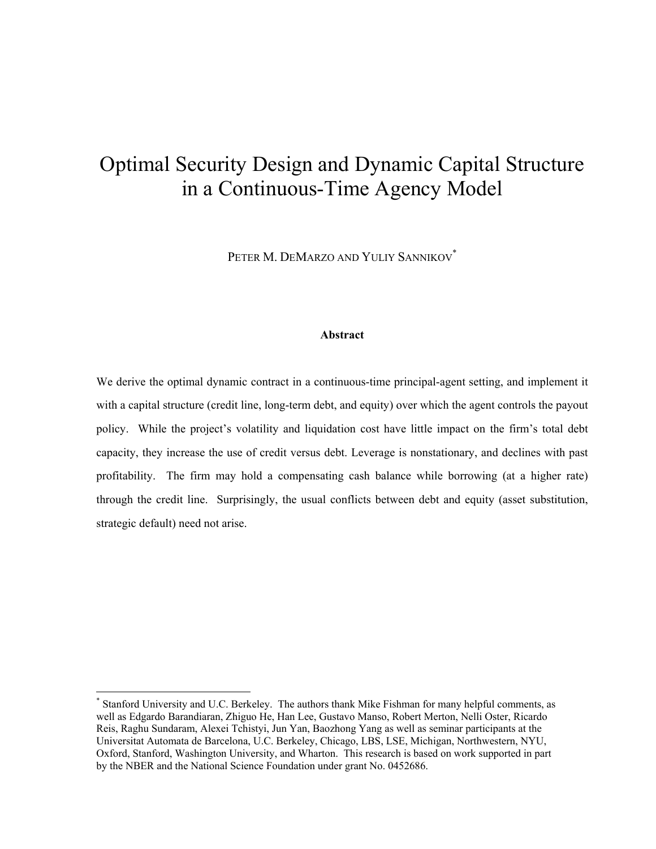# Optimal Security Design and Dynamic Capital Structure in a Continuous-Time Agency Model

PETER M. DEMARZO AND YULIY SANNIKOV<sup>[\\*](#page-0-0)</sup>

#### **Abstract**

We derive the optimal dynamic contract in a continuous-time principal-agent setting, and implement it with a capital structure (credit line, long-term debt, and equity) over which the agent controls the payout policy. While the project's volatility and liquidation cost have little impact on the firm's total debt capacity, they increase the use of credit versus debt. Leverage is nonstationary, and declines with past profitability. The firm may hold a compensating cash balance while borrowing (at a higher rate) through the credit line. Surprisingly, the usual conflicts between debt and equity (asset substitution, strategic default) need not arise.

 $\overline{a}$ 

<span id="page-0-0"></span><sup>\*</sup> Stanford University and U.C. Berkeley. The authors thank Mike Fishman for many helpful comments, as well as Edgardo Barandiaran, Zhiguo He, Han Lee, Gustavo Manso, Robert Merton, Nelli Oster, Ricardo Reis, Raghu Sundaram, Alexei Tchistyi, Jun Yan, Baozhong Yang as well as seminar participants at the Universitat Automata de Barcelona, U.C. Berkeley, Chicago, LBS, LSE, Michigan, Northwestern, NYU, Oxford, Stanford, Washington University, and Wharton. This research is based on work supported in part by the NBER and the National Science Foundation under grant No. 0452686.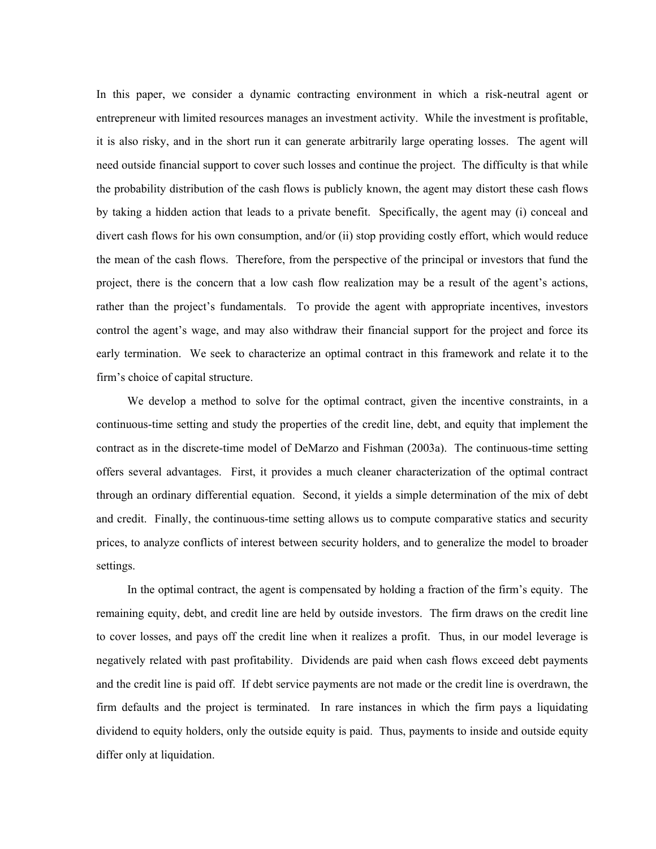In this paper, we consider a dynamic contracting environment in which a risk-neutral agent or entrepreneur with limited resources manages an investment activity. While the investment is profitable, it is also risky, and in the short run it can generate arbitrarily large operating losses. The agent will need outside financial support to cover such losses and continue the project. The difficulty is that while the probability distribution of the cash flows is publicly known, the agent may distort these cash flows by taking a hidden action that leads to a private benefit. Specifically, the agent may (i) conceal and divert cash flows for his own consumption, and/or (ii) stop providing costly effort, which would reduce the mean of the cash flows. Therefore, from the perspective of the principal or investors that fund the project, there is the concern that a low cash flow realization may be a result of the agent's actions, rather than the project's fundamentals. To provide the agent with appropriate incentives, investors control the agent's wage, and may also withdraw their financial support for the project and force its early termination. We seek to characterize an optimal contract in this framework and relate it to the firm's choice of capital structure.

We develop a method to solve for the optimal contract, given the incentive constraints, in a continuous-time setting and study the properties of the credit line, debt, and equity that implement the contract as in the discrete-time model of DeMarzo and Fishman (2003a). The continuous-time setting offers several advantages. First, it provides a much cleaner characterization of the optimal contract through an ordinary differential equation. Second, it yields a simple determination of the mix of debt and credit. Finally, the continuous-time setting allows us to compute comparative statics and security prices, to analyze conflicts of interest between security holders, and to generalize the model to broader settings.

In the optimal contract, the agent is compensated by holding a fraction of the firm's equity. The remaining equity, debt, and credit line are held by outside investors. The firm draws on the credit line to cover losses, and pays off the credit line when it realizes a profit. Thus, in our model leverage is negatively related with past profitability. Dividends are paid when cash flows exceed debt payments and the credit line is paid off. If debt service payments are not made or the credit line is overdrawn, the firm defaults and the project is terminated. In rare instances in which the firm pays a liquidating dividend to equity holders, only the outside equity is paid. Thus, payments to inside and outside equity differ only at liquidation.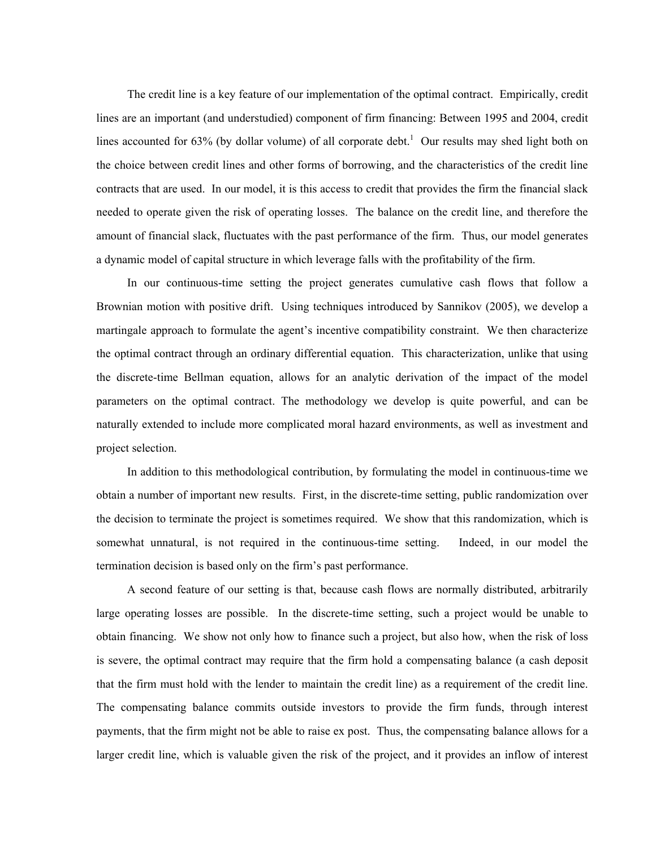The credit line is a key feature of our implementation of the optimal contract. Empirically, credit lines are an important (and understudied) component of firm financing: Between 1995 and 2004, credit lines accounted for 63% (by dollar volume) of all corporate debt.<sup>1</sup> Our results may shed light both on the choice between credit lines and other forms of borrowing, and the characteristics of the credit line contracts that are used. In our model, it is this access to credit that provides the firm the financial slack needed to operate given the risk of operating losses. The balance on the credit line, and therefore the amount of financial slack, fluctuates with the past performance of the firm. Thus, our model generates a dynamic model of capital structure in which leverage falls with the profitability of the firm.

In our continuous-time setting the project generates cumulative cash flows that follow a Brownian motion with positive drift. Using techniques introduced by Sannikov (2005), we develop a martingale approach to formulate the agent's incentive compatibility constraint. We then characterize the optimal contract through an ordinary differential equation. This characterization, unlike that using the discrete-time Bellman equation, allows for an analytic derivation of the impact of the model parameters on the optimal contract. The methodology we develop is quite powerful, and can be naturally extended to include more complicated moral hazard environments, as well as investment and project selection.

In addition to this methodological contribution, by formulating the model in continuous-time we obtain a number of important new results. First, in the discrete-time setting, public randomization over the decision to terminate the project is sometimes required. We show that this randomization, which is somewhat unnatural, is not required in the continuous-time setting. Indeed, in our model the termination decision is based only on the firm's past performance.

A second feature of our setting is that, because cash flows are normally distributed, arbitrarily large operating losses are possible. In the discrete-time setting, such a project would be unable to obtain financing. We show not only how to finance such a project, but also how, when the risk of loss is severe, the optimal contract may require that the firm hold a compensating balance (a cash deposit that the firm must hold with the lender to maintain the credit line) as a requirement of the credit line. The compensating balance commits outside investors to provide the firm funds, through interest payments, that the firm might not be able to raise ex post. Thus, the compensating balance allows for a larger credit line, which is valuable given the risk of the project, and it provides an inflow of interest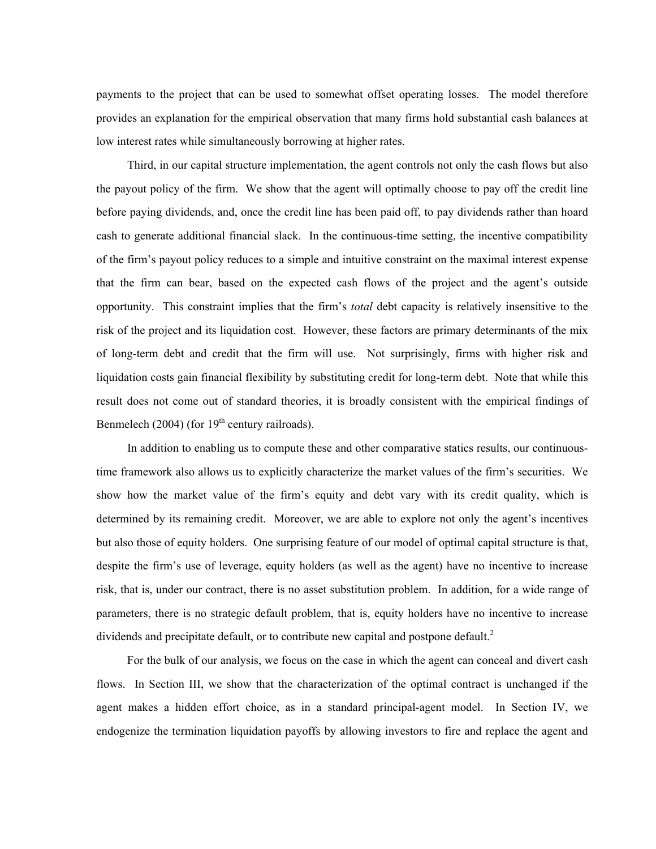payments to the project that can be used to somewhat offset operating losses. The model therefore provides an explanation for the empirical observation that many firms hold substantial cash balances at low interest rates while simultaneously borrowing at higher rates.

Third, in our capital structure implementation, the agent controls not only the cash flows but also the payout policy of the firm. We show that the agent will optimally choose to pay off the credit line before paying dividends, and, once the credit line has been paid off, to pay dividends rather than hoard cash to generate additional financial slack. In the continuous-time setting, the incentive compatibility of the firm's payout policy reduces to a simple and intuitive constraint on the maximal interest expense that the firm can bear, based on the expected cash flows of the project and the agent's outside opportunity. This constraint implies that the firm's *total* debt capacity is relatively insensitive to the risk of the project and its liquidation cost. However, these factors are primary determinants of the mix of long-term debt and credit that the firm will use. Not surprisingly, firms with higher risk and liquidation costs gain financial flexibility by substituting credit for long-term debt. Note that while this result does not come out of standard theories, it is broadly consistent with the empirical findings of Benmelech (2004) (for  $19<sup>th</sup>$  century railroads).

In addition to enabling us to compute these and other comparative statics results, our continuoustime framework also allows us to explicitly characterize the market values of the firm's securities. We show how the market value of the firm's equity and debt vary with its credit quality, which is determined by its remaining credit. Moreover, we are able to explore not only the agent's incentives but also those of equity holders. One surprising feature of our model of optimal capital structure is that, despite the firm's use of leverage, equity holders (as well as the agent) have no incentive to increase risk, that is, under our contract, there is no asset substitution problem. In addition, for a wide range of parameters, there is no strategic default problem, that is, equity holders have no incentive to increase dividends and precipitate default, or to contribute new capital and postpone default.<sup>2</sup>

For the bulk of our analysis, we focus on the case in which the agent can conceal and divert cash flows. In Section III, we show that the characterization of the optimal contract is unchanged if the agent makes a hidden effort choice, as in a standard principal-agent model. In Section IV, we endogenize the termination liquidation payoffs by allowing investors to fire and replace the agent and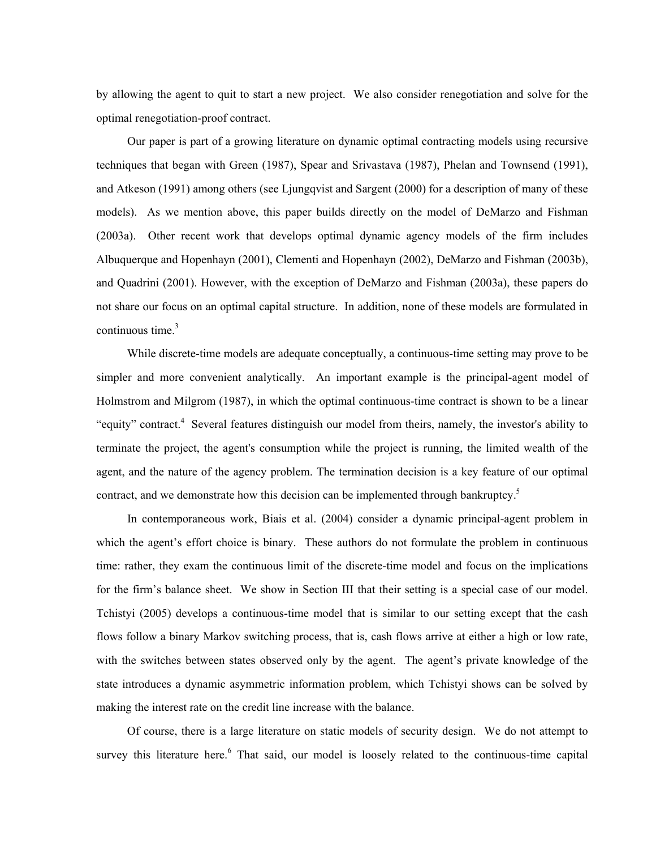by allowing the agent to quit to start a new project. We also consider renegotiation and solve for the optimal renegotiation-proof contract.

Our paper is part of a growing literature on dynamic optimal contracting models using recursive techniques that began with Green (1987), Spear and Srivastava (1987), Phelan and Townsend (1991), and Atkeson (1991) among others (see Ljungqvist and Sargent (2000) for a description of many of these models). As we mention above, this paper builds directly on the model of DeMarzo and Fishman (2003a). Other recent work that develops optimal dynamic agency models of the firm includes Albuquerque and Hopenhayn (2001), Clementi and Hopenhayn (2002), DeMarzo and Fishman (2003b), and Quadrini (2001). However, with the exception of DeMarzo and Fishman (2003a), these papers do not share our focus on an optimal capital structure. In addition, none of these models are formulated in continuous time. $3$ 

While discrete-time models are adequate conceptually, a continuous-time setting may prove to be simpler and more convenient analytically. An important example is the principal-agent model of Holmstrom and Milgrom (1987), in which the optimal continuous-time contract is shown to be a linear "equity" contract.<sup>4</sup> Several features distinguish our model from theirs, namely, the investor's ability to terminate the project, the agent's consumption while the project is running, the limited wealth of the agent, and the nature of the agency problem. The termination decision is a key feature of our optimal contract, and we demonstrate how this decision can be implemented through bankruptcy. $5$ 

In contemporaneous work, Biais et al. (2004) consider a dynamic principal-agent problem in which the agent's effort choice is binary. These authors do not formulate the problem in continuous time: rather, they exam the continuous limit of the discrete-time model and focus on the implications for the firm's balance sheet. We show in Section III that their setting is a special case of our model. Tchistyi (2005) develops a continuous-time model that is similar to our setting except that the cash flows follow a binary Markov switching process, that is, cash flows arrive at either a high or low rate, with the switches between states observed only by the agent. The agent's private knowledge of the state introduces a dynamic asymmetric information problem, which Tchistyi shows can be solved by making the interest rate on the credit line increase with the balance.

Of course, there is a large literature on static models of security design. We do not attempt to survey this literature here.<sup>6</sup> That said, our model is loosely related to the continuous-time capital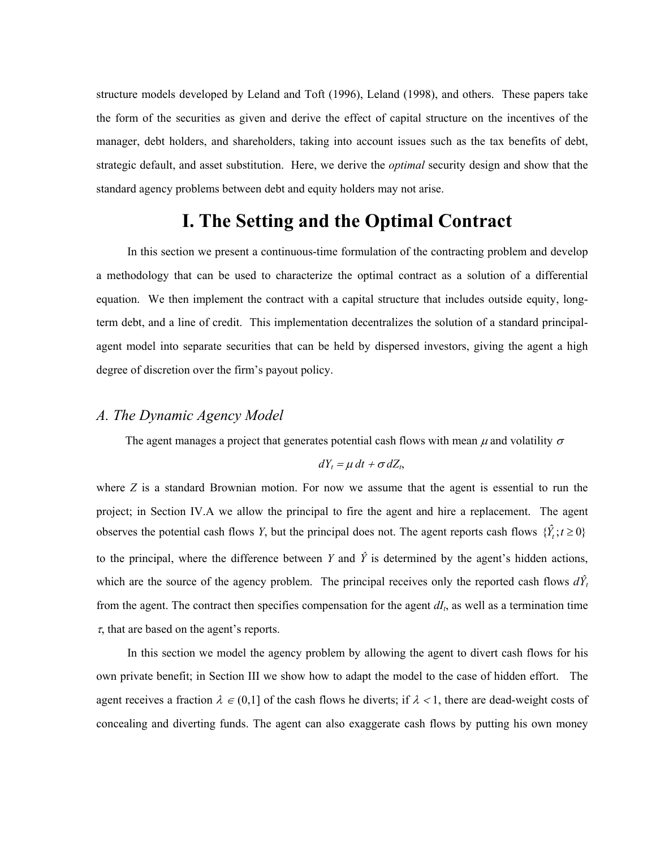structure models developed by Leland and Toft (1996), Leland (1998), and others. These papers take the form of the securities as given and derive the effect of capital structure on the incentives of the manager, debt holders, and shareholders, taking into account issues such as the tax benefits of debt, strategic default, and asset substitution. Here, we derive the *optimal* security design and show that the standard agency problems between debt and equity holders may not arise.

# <span id="page-5-0"></span>**I. The Setting and the Optimal Contract**

In this section we present a continuous-time formulation of the contracting problem and develop a methodology that can be used to characterize the optimal contract as a solution of a differential equation. We then implement the contract with a capital structure that includes outside equity, longterm debt, and a line of credit. This implementation decentralizes the solution of a standard principalagent model into separate securities that can be held by dispersed investors, giving the agent a high degree of discretion over the firm's payout policy.

## *A. The Dynamic Agency Model*

The agent manages a project that generates potential cash flows with mean  $\mu$  and volatility  $\sigma$ 

$$
dY_t = \mu \, dt + \sigma \, dZ_t,
$$

where  $Z$  is a standard Brownian motion. For now we assume that the agent is essential to run the project; in Section IV.A we allow the principal to fire the agent and hire a replacement. The agent observes the potential cash flows *Y*, but the principal does not. The agent reports cash flows  $\{\hat{Y},: t \ge 0\}$ to the principal, where the difference between *Y* and  $\hat{Y}$  is determined by the agent's hidden actions, which are the source of the agency problem. The principal receives only the reported cash flows  $d\hat{Y}_t$ from the agent. The contract then specifies compensation for the agent  $dI<sub>t</sub>$ , as well as a termination time  $\tau$ , that are based on the agent's reports.

In this section we model the agency problem by allowing the agent to divert cash flows for his own private benefit; in Section III we show how to adapt the model to the case of hidden effort. The agent receives a fraction  $\lambda \in (0,1]$  of the cash flows he diverts; if  $\lambda < 1$ , there are dead-weight costs of concealing and diverting funds. The agent can also exaggerate cash flows by putting his own money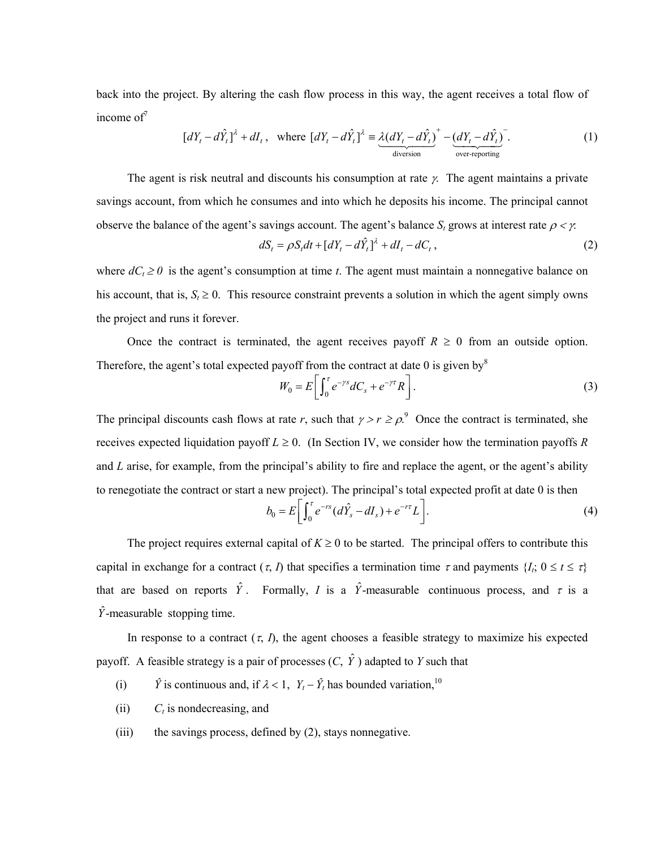back into the project. By altering the cash flow process in this way, the agent receives a total flow of income of $^7$ 

$$
[dY_t - d\hat{Y}_t]^{\lambda} + dI_t, \text{ where } [dY_t - d\hat{Y}_t]^{\lambda} \equiv \underbrace{\lambda (dY_t - d\hat{Y}_t)}_{\text{diversion}} + \underbrace{(dY_t - d\hat{Y}_t)}_{\text{over-reporting}}.
$$
 (1)

The agent is risk neutral and discounts his consumption at rate  $\gamma$ . The agent maintains a private savings account, from which he consumes and into which he deposits his income. The principal cannot observe the balance of the agent's savings account. The agent's balance  $S_t$  grows at interest rate  $\rho < \gamma$ :  $dS_t = \rho S_t dt + [dY_t - d\hat{Y}_t]^{\lambda} + dI_t - dC_t,$  (2)

where  $dC_t \ge 0$  is the agent's consumption at time *t*. The agent must maintain a nonnegative balance on his account, that is,  $S_t \ge 0$ . This resource constraint prevents a solution in which the agent simply owns the project and runs it forever.

Once the contract is terminated, the agent receives payoff  $R \ge 0$  from an outside option. Therefore, the agent's total expected payoff from the contract at date 0 is given by  $8^8$ 

$$
W_0 = E\bigg[\int_0^\tau e^{-\gamma s} dC_s + e^{-\gamma \tau} R\bigg].\tag{3}
$$

The principal discounts cash flows at rate *r*, such that  $\gamma > r \ge \rho$ .<sup>9</sup> Once the contract is terminated, she receives expected liquidation payoff  $L \ge 0$ . (In Section IV, we consider how the termination payoffs R and *L* arise, for example, from the principal's ability to fire and replace the agent, or the agent's ability to renegotiate the contract or start a new project). The principal's total expected profit at date 0 is then  $b_0 = E \left[ \int_0^{\tau} e^{-rs} (d\hat{Y}_s - dI_s) + e^{-rt} L \right].$  (4)

The project requires external capital of  $K \ge 0$  to be started. The principal offers to contribute this capital in exchange for a contract  $(\tau, I)$  that specifies a termination time  $\tau$  and payments  $\{I_i; 0 \le t \le \tau\}$ that are based on reports  $\hat{Y}$ . Formally, *I* is a  $\hat{Y}$ -measurable continuous process, and  $\tau$  is a  $\hat{Y}$ -measurable stopping time.

In response to a contract  $(\tau, I)$ , the agent chooses a feasible strategy to maximize his expected payoff. A feasible strategy is a pair of processes  $(C, \hat{Y})$  adapted to *Y* such that

- (i)  $\hat{Y}$  is continuous and, if  $\lambda < 1$ ,  $Y_t \hat{Y}_t$  has bounded variation,<sup>10</sup>
- $(i)$   $C_t$  is nondecreasing, and
- (iii) the savings process, defined by (2), stays nonnegative.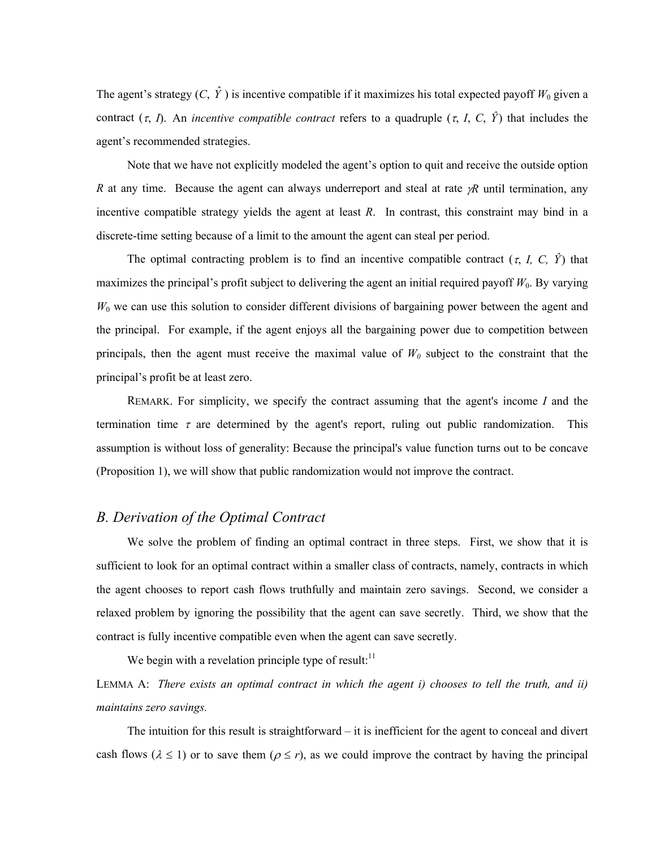The agent's strategy  $(C, \hat{Y})$  is incentive compatible if it maximizes his total expected payoff  $W_0$  given a contract  $(\tau, I)$ . An *incentive compatible contract* refers to a quadruple  $(\tau, I, C, \hat{Y})$  that includes the agent's recommended strategies.

Note that we have not explicitly modeled the agent's option to quit and receive the outside option *R* at any time. Because the agent can always underreport and steal at rate γ*R* until termination, any incentive compatible strategy yields the agent at least *R*. In contrast, this constraint may bind in a discrete-time setting because of a limit to the amount the agent can steal per period.

The optimal contracting problem is to find an incentive compatible contract  $(\tau, I, C, \hat{Y})$  that maximizes the principal's profit subject to delivering the agent an initial required payoff  $W_0$ . By varying  $W_0$  we can use this solution to consider different divisions of bargaining power between the agent and the principal. For example, if the agent enjoys all the bargaining power due to competition between principals, then the agent must receive the maximal value of  $W_0$  subject to the constraint that the principal's profit be at least zero.

REMARK. For simplicity, we specify the contract assuming that the agent's income *I* and the termination time  $\tau$  are determined by the agent's report, ruling out public randomization. This assumption is without loss of generality: Because the principal's value function turns out to be concave (Proposition 1), we will show that public randomization would not improve the contract.

## *B. Derivation of the Optimal Contract*

We solve the problem of finding an optimal contract in three steps. First, we show that it is sufficient to look for an optimal contract within a smaller class of contracts, namely, contracts in which the agent chooses to report cash flows truthfully and maintain zero savings. Second, we consider a relaxed problem by ignoring the possibility that the agent can save secretly. Third, we show that the contract is fully incentive compatible even when the agent can save secretly.

We begin with a revelation principle type of result: $11$ 

LEMMA A: *There exists an optimal contract in which the agent i) chooses to tell the truth, and ii) maintains zero savings.* 

The intuition for this result is straightforward – it is inefficient for the agent to conceal and divert cash flows ( $\lambda \le 1$ ) or to save them ( $\rho \le r$ ), as we could improve the contract by having the principal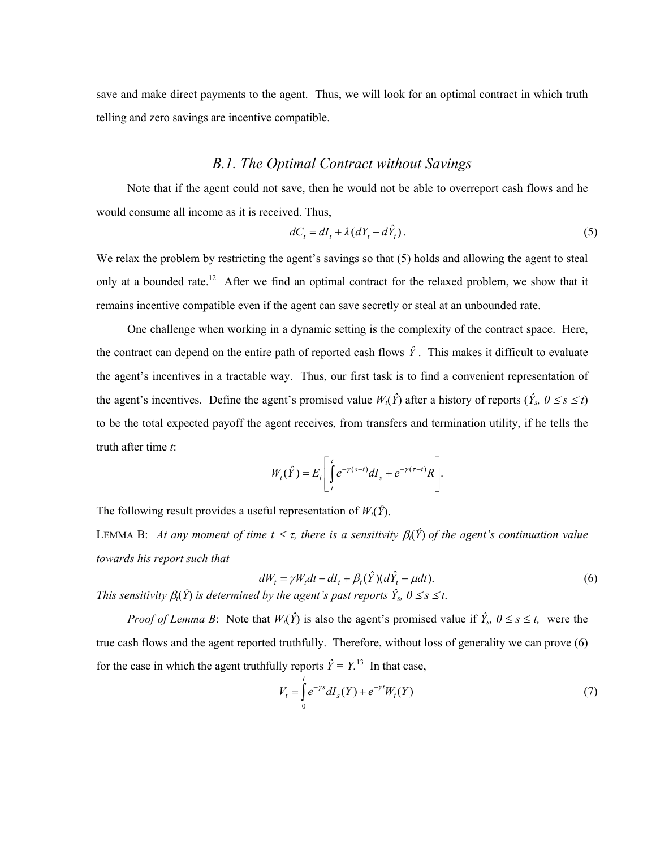save and make direct payments to the agent. Thus, we will look for an optimal contract in which truth telling and zero savings are incentive compatible.

## *B.1. The Optimal Contract without Savings*

Note that if the agent could not save, then he would not be able to overreport cash flows and he would consume all income as it is received. Thus,

$$
dC_t = dI_t + \lambda (dY_t - d\hat{Y}_t).
$$
\n<sup>(5)</sup>

We relax the problem by restricting the agent's savings so that (5) holds and allowing the agent to steal only at a bounded rate.<sup>12</sup> After we find an optimal contract for the relaxed problem, we show that it remains incentive compatible even if the agent can save secretly or steal at an unbounded rate.

One challenge when working in a dynamic setting is the complexity of the contract space. Here, the contract can depend on the entire path of reported cash flows  $\hat{Y}$ . This makes it difficult to evaluate the agent's incentives in a tractable way. Thus, our first task is to find a convenient representation of the agent's incentives. Define the agent's promised value  $W_t(\hat{Y})$  after a history of reports ( $\hat{Y}_s$ ,  $0 \le s \le t$ ) to be the total expected payoff the agent receives, from transfers and termination utility, if he tells the truth after time *t*:

$$
W_t(\hat{Y}) = E_t \left[ \int_t^{\tau} e^{-\gamma(s-t)} dt_s + e^{-\gamma(\tau-t)} R \right].
$$

The following result provides a useful representation of  $W_t(\hat{Y})$ .

LEMMA B: At any moment of time  $t \leq \tau$ , there is a sensitivity  $\beta_t(\hat{Y})$  of the agent's continuation value *towards his report such that* 

$$
dW_t = \gamma W_t dt - dI_t + \beta_t(\hat{Y})(d\hat{Y}_t - \mu dt).
$$
\nThis sensitivity  $\beta_t(\hat{Y})$  is determined by the agent's past reports  $\hat{Y}_s$ ,  $0 \le s \le t$ .

*Proof of Lemma B*: Note that  $W_t(\hat{Y})$  is also the agent's promised value if  $\hat{Y}_s$ ,  $0 \le s \le t$ , were the true cash flows and the agent reported truthfully. Therefore, without loss of generality we can prove (6) for the case in which the agent truthfully reports  $\hat{Y} = Y^{13}$  In that case,

$$
V_t = \int_0^t e^{-\gamma s} dI_s(Y) + e^{-\gamma t} W_t(Y)
$$
 (7)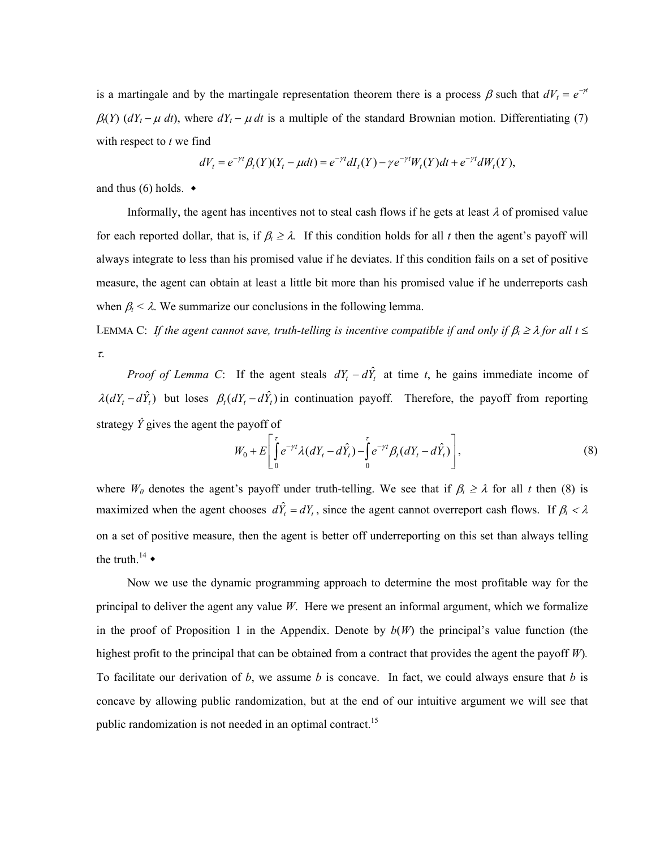is a martingale and by the martingale representation theorem there is a process  $\beta$  such that  $dV_t = e^{-\gamma t}$  $β$ <sub>*t*</sub>(*Y*) (*dY<sub>t</sub>* − *μ dt*), where *dY<sub>t</sub>* − *μ dt* is a multiple of the standard Brownian motion. Differentiating (7) with respect to *t* we find

$$
dV_t = e^{-\gamma t} \beta_t(Y) (Y_t - \mu dt) = e^{-\gamma t} dI_t(Y) - \gamma e^{-\gamma t} W_t(Y) dt + e^{-\gamma t} dW_t(Y),
$$

and thus (6) holds.  $\triangleleft$ 

Informally, the agent has incentives not to steal cash flows if he gets at least  $\lambda$  of promised value for each reported dollar, that is, if  $\beta_t \geq \lambda$ . If this condition holds for all *t* then the agent's payoff will always integrate to less than his promised value if he deviates. If this condition fails on a set of positive measure, the agent can obtain at least a little bit more than his promised value if he underreports cash when  $\beta_t < \lambda$ . We summarize our conclusions in the following lemma.

LEMMA C: If the agent cannot save, truth-telling is incentive compatible if and only if  $\beta_t \geq \lambda$  for all  $t \leq$ τ.

*Proof of Lemma C*: If the agent steals  $dY_t - d\hat{Y}_t$  at time *t*, he gains immediate income of  $\lambda ( dY_t - d\hat{Y}_t )$  but loses  $\beta_t ( dY_t - d\hat{Y}_t )$  in continuation payoff. Therefore, the payoff from reporting strategy  $\hat{Y}$  gives the agent the payoff of

$$
W_0 + E\left[\int_0^{\tau} e^{-\gamma t} \lambda (dY_t - d\hat{Y}_t) - \int_0^{\tau} e^{-\gamma t} \beta_t (dY_t - d\hat{Y}_t)\right],
$$
\n(8)

where  $W_0$  denotes the agent's payoff under truth-telling. We see that if  $\beta_t \geq \lambda$  for all *t* then (8) is maximized when the agent chooses  $d\hat{Y}_t = dY_t$ , since the agent cannot overreport cash flows. If  $\beta_t < \lambda$ on a set of positive measure, then the agent is better off underreporting on this set than always telling the truth.<sup>14</sup>  $\bullet$ 

Now we use the dynamic programming approach to determine the most profitable way for the principal to deliver the agent any value *W*. Here we present an informal argument, which we formalize in the proof of Proposition 1 in the Appendix. Denote by  $b(W)$  the principal's value function (the highest profit to the principal that can be obtained from a contract that provides the agent the payoff *W*)*.*  To facilitate our derivation of *b*, we assume *b* is concave. In fact, we could always ensure that *b* is concave by allowing public randomization, but at the end of our intuitive argument we will see that public randomization is not needed in an optimal contract.<sup>15</sup>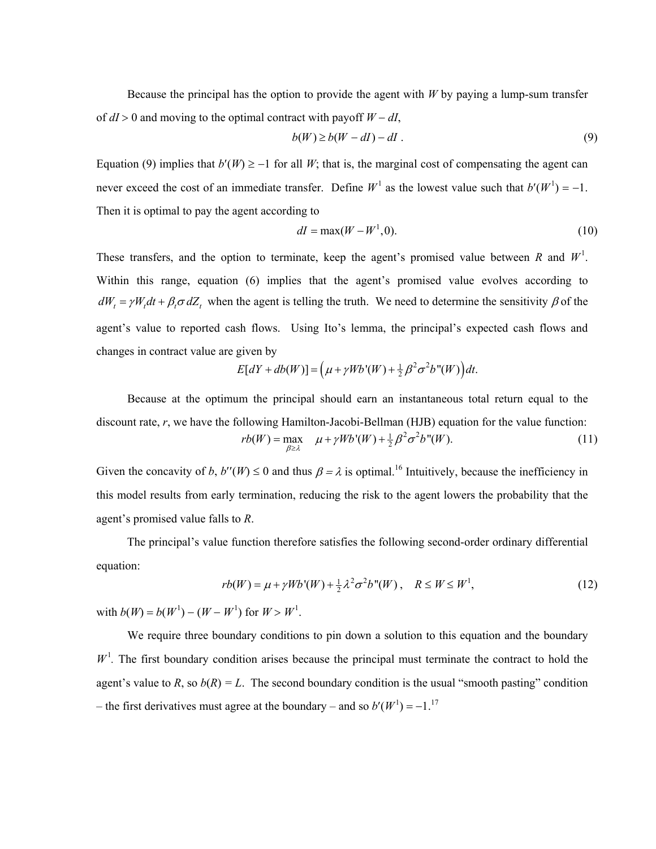Because the principal has the option to provide the agent with *W* by paying a lump-sum transfer of *dI* > 0 and moving to the optimal contract with payoff *W* − *dI*,

$$
b(W) \ge b(W - dI) - dI \tag{9}
$$

Equation (9) implies that  $b'(W) \ge -1$  for all *W*; that is, the marginal cost of compensating the agent can never exceed the cost of an immediate transfer. Define  $W<sup>1</sup>$  as the lowest value such that  $b'(W<sup>1</sup>) = -1$ . Then it is optimal to pay the agent according to

$$
dI = \max(W - W^1, 0). \tag{10}
$$

These transfers, and the option to terminate, keep the agent's promised value between *R* and  $W<sup>1</sup>$ . Within this range, equation (6) implies that the agent's promised value evolves according to  $dW_t = \gamma W_t dt + \beta_t \sigma dZ_t$ , when the agent is telling the truth. We need to determine the sensitivity  $\beta$  of the agent's value to reported cash flows. Using Ito's lemma, the principal's expected cash flows and changes in contract value are given by

$$
E[dY + db(W)] = \left(\mu + \gamma Wb'(W) + \frac{1}{2}\beta^2 \sigma^2 b''(W)\right)dt.
$$

Because at the optimum the principal should earn an instantaneous total return equal to the discount rate, *r*, we have the following Hamilton-Jacobi-Bellman (HJB) equation for the value function:  $rb(W) = \max_{\beta \ge \lambda} \quad \mu + \gamma Wb'(W) + \frac{1}{2} \beta^2 \sigma^2 b''(W).$  (11)

Given the concavity of *b*,  $b''(W) \le 0$  and thus  $\beta = \lambda$  is optimal.<sup>16</sup> Intuitively, because the inefficiency in this model results from early termination, reducing the risk to the agent lowers the probability that the agent's promised value falls to *R*.

The principal's value function therefore satisfies the following second-order ordinary differential equation:

$$
rb(W) = \mu + \gamma Wb'(W) + \frac{1}{2}\lambda^2 \sigma^2 b''(W) , \quad R \le W \le W^1,
$$
 (12)

with  $b(W) = b(W^1) - (W - W^1)$  for  $W > W^1$ .

We require three boundary conditions to pin down a solution to this equation and the boundary  $W<sup>1</sup>$ . The first boundary condition arises because the principal must terminate the contract to hold the agent's value to *R*, so  $b(R) = L$ . The second boundary condition is the usual "smooth pasting" condition – the first derivatives must agree at the boundary – and so  $b'(W^1) = -1$ .<sup>17</sup>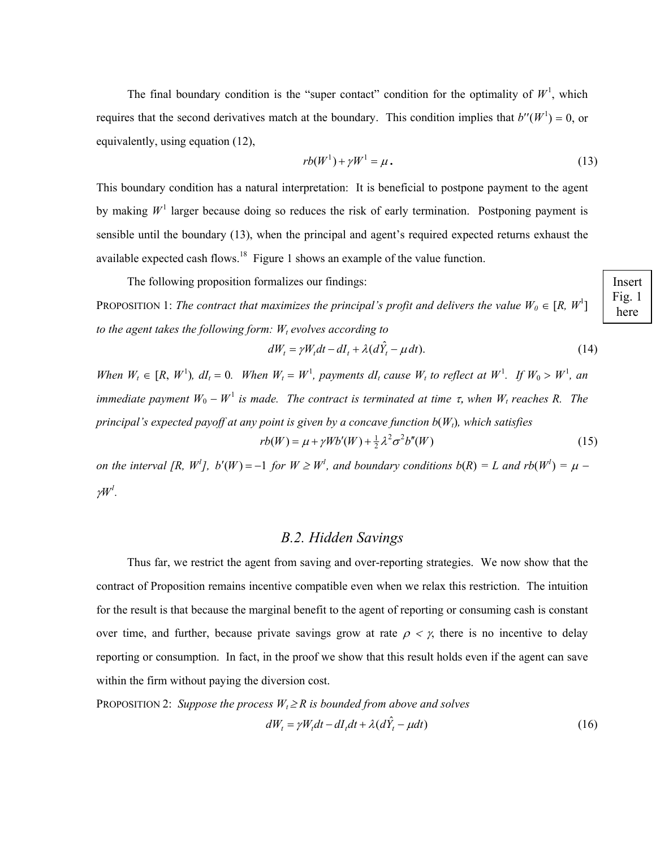The final boundary condition is the "super contact" condition for the optimality of  $W<sup>1</sup>$ , which requires that the second derivatives match at the boundary. This condition implies that  $b''(W^1) = 0$ , or equivalently, using equation (12),

$$
rb(W^1) + \gamma W^1 = \mu \,. \tag{13}
$$

This boundary condition has a natural interpretation: It is beneficial to postpone payment to the agent by making  $W<sup>1</sup>$  larger because doing so reduces the risk of early termination. Postponing payment is sensible until the boundary (13), when the principal and agent's required expected returns exhaust the available expected cash flows.18 Figure 1 shows an example of the value function.

The following proposition formalizes our findings:

<span id="page-11-0"></span>PROPOSITION 1: The contract that maximizes the principal's profit and delivers the value  $W_0 \in [R, W^1]$ to the agent takes the following form:  $W_t$  evolves according to

$$
dW_t = \gamma W_t dt - dI_t + \lambda (d\hat{Y}_t - \mu dt).
$$
 (14)

*When*  $W_t \in [R, W^1)$ ,  $dI_t = 0$ . *When*  $W_t = W^1$ , payments  $dI_t$  cause  $W_t$  to reflect at  $W^1$ . If  $W_0 > W^1$ , an *immediate payment*  $W_0 - W^1$  is made. The contract is terminated at time  $\tau$ , when  $W_t$  reaches R. The *principal's expected payoff at any point is given by a concave function b(W<sub>t</sub>), which satisfies*  $rb(W) = \mu + \gamma Wb'(W) + \frac{1}{2} \lambda^2 \sigma^2 b''(W)$  (15)

*on the interval [R, W<sup>1</sup>], b'*(*W*) = -1 for  $W \geq W^1$ , and boundary conditions b(R) = L and rb( $W^1$ ) =  $\mu$  - $\gamma W^l$ .

#### *B.2. Hidden Savings*

Thus far, we restrict the agent from saving and over-reporting strategies. We now show that the contract of [Proposition](#page-11-0) remains incentive compatible even when we relax this restriction. The intuition for the result is that because the marginal benefit to the agent of reporting or consuming cash is constant over time, and further, because private savings grow at rate  $\rho \lt \gamma$ , there is no incentive to delay reporting or consumption. In fact, in the proof we show that this result holds even if the agent can save within the firm without paying the diversion cost.

PROPOSITION 2: Suppose the process  $W_t \geq R$  is bounded from above and solves  $dW_t = \gamma W_t dt - dI_t dt + \lambda (d\hat{Y}_t - \mu dt)$  (16)

Insert Fig. 1 here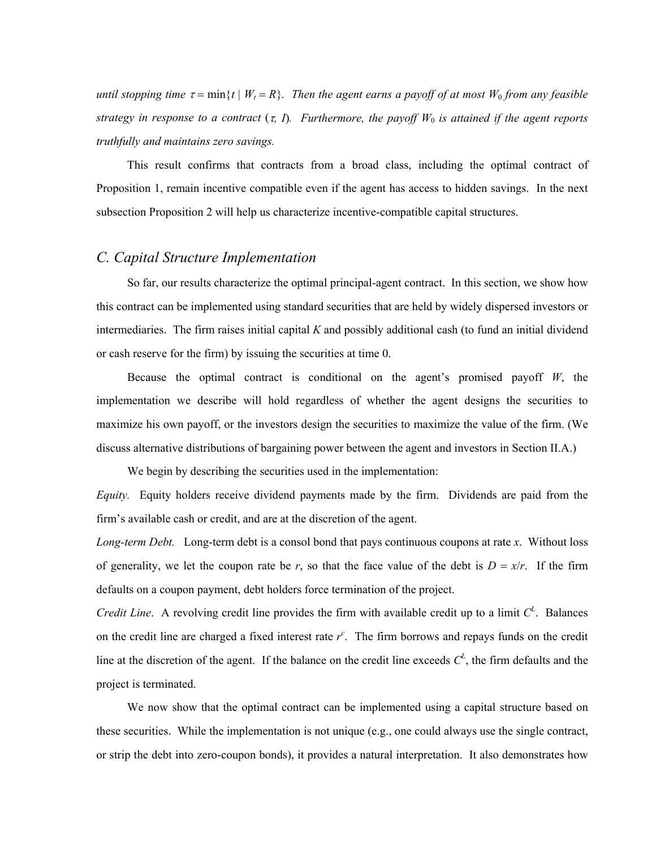*until stopping time*  $\tau = \min\{t \mid W_t = R\}$ *. Then the agent earns a payoff of at most*  $W_0$  *from any feasible strategy in response to a contract*  $(\tau, I)$ *. Furthermore, the payoff*  $W_0$  *is attained if the agent reports truthfully and maintains zero savings.* 

This result confirms that contracts from a broad class, including the optimal contract of Proposition 1, remain incentive compatible even if the agent has access to hidden savings. In the next subsection Proposition 2 will help us characterize incentive-compatible capital structures.

## *C. Capital Structure Implementation*

So far, our results characterize the optimal principal-agent contract. In this section, we show how this contract can be implemented using standard securities that are held by widely dispersed investors or intermediaries. The firm raises initial capital *K* and possibly additional cash (to fund an initial dividend or cash reserve for the firm) by issuing the securities at time 0.

Because the optimal contract is conditional on the agent's promised payoff *W*, the implementation we describe will hold regardless of whether the agent designs the securities to maximize his own payoff, or the investors design the securities to maximize the value of the firm. (We discuss alternative distributions of bargaining power between the agent and investors in Section II.A.)

We begin by describing the securities used in the implementation:

*Equity.* Equity holders receive dividend payments made by the firm. Dividends are paid from the firm's available cash or credit, and are at the discretion of the agent.

*Long-term Debt.* Long-term debt is a consol bond that pays continuous coupons at rate *x*. Without loss of generality, we let the coupon rate be *r*, so that the face value of the debt is  $D = x/r$ . If the firm defaults on a coupon payment, debt holders force termination of the project.

*Credit Line.* A revolving credit line provides the firm with available credit up to a limit  $C^L$ . Balances on the credit line are charged a fixed interest rate  $r^c$ . The firm borrows and repays funds on the credit line at the discretion of the agent. If the balance on the credit line exceeds  $C<sup>L</sup>$ , the firm defaults and the project is terminated.

We now show that the optimal contract can be implemented using a capital structure based on these securities. While the implementation is not unique (e.g., one could always use the single contract, or strip the debt into zero-coupon bonds), it provides a natural interpretation. It also demonstrates how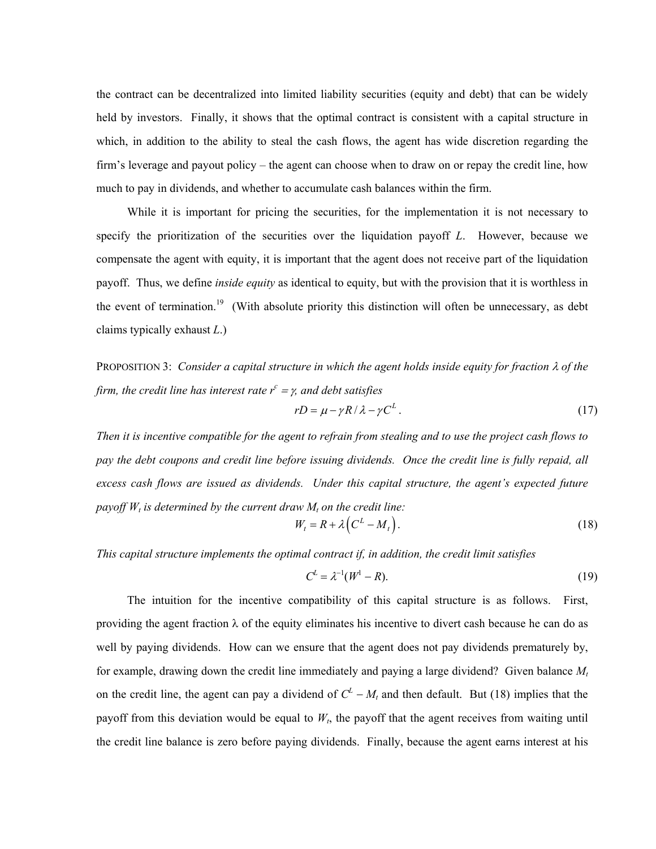the contract can be decentralized into limited liability securities (equity and debt) that can be widely held by investors. Finally, it shows that the optimal contract is consistent with a capital structure in which, in addition to the ability to steal the cash flows, the agent has wide discretion regarding the firm's leverage and payout policy – the agent can choose when to draw on or repay the credit line, how much to pay in dividends, and whether to accumulate cash balances within the firm.

While it is important for pricing the securities, for the implementation it is not necessary to specify the prioritization of the securities over the liquidation payoff *L*. However, because we compensate the agent with equity, it is important that the agent does not receive part of the liquidation payoff. Thus, we define *inside equity* as identical to equity, but with the provision that it is worthless in the event of termination.<sup>19</sup> (With absolute priority this distinction will often be unnecessary, as debt claims typically exhaust *L*.)

PROPOSITION 3: *Consider a capital structure in which the agent holds inside equity for fraction* λ *of the firm, the credit line has interest rate*  $r^c = \gamma$ *, and debt satisfies* 

$$
rD = \mu - \gamma R / \lambda - \gamma C^L. \tag{17}
$$

*Then it is incentive compatible for the agent to refrain from stealing and to use the project cash flows to pay the debt coupons and credit line before issuing dividends. Once the credit line is fully repaid, all excess cash flows are issued as dividends. Under this capital structure, the agent's expected future payoff*  $W_t$  *is determined by the current draw*  $M_t$  *on the credit line:* 

$$
W_t = R + \lambda \left( C^L - M_t \right). \tag{18}
$$

*This capital structure implements the optimal contract if, in addition, the credit limit satisfies* 

$$
C^L = \lambda^{-1}(W^1 - R). \tag{19}
$$

The intuition for the incentive compatibility of this capital structure is as follows. First, providing the agent fraction  $\lambda$  of the equity eliminates his incentive to divert cash because he can do as well by paying dividends. How can we ensure that the agent does not pay dividends prematurely by, for example, drawing down the credit line immediately and paying a large dividend? Given balance  $M_t$ on the credit line, the agent can pay a dividend of  $C^L - M_t$  and then default. But (18) implies that the payoff from this deviation would be equal to  $W_t$ , the payoff that the agent receives from waiting until the credit line balance is zero before paying dividends. Finally, because the agent earns interest at his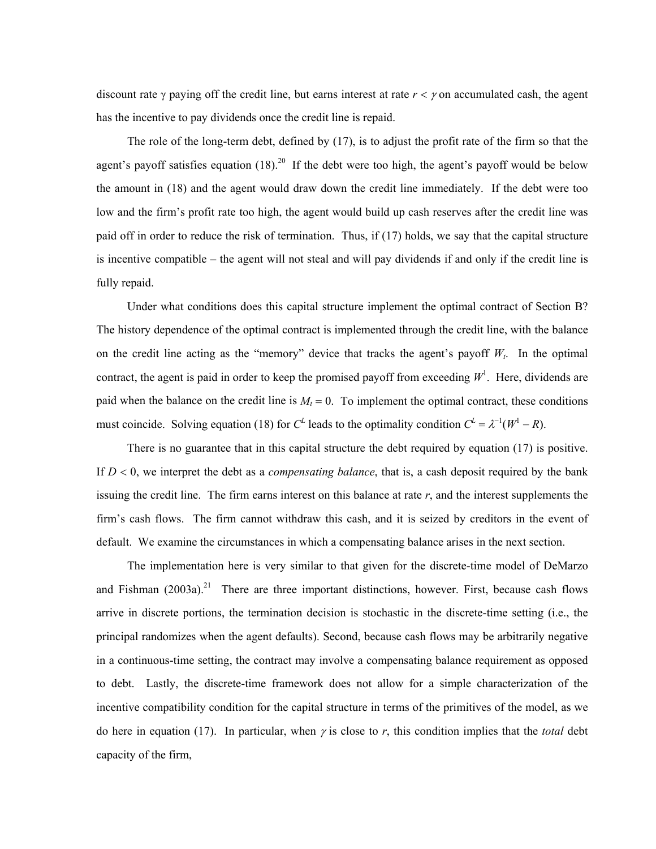discount rate  $\gamma$  paying off the credit line, but earns interest at rate  $r < \gamma$  on accumulated cash, the agent has the incentive to pay dividends once the credit line is repaid.

The role of the long-term debt, defined by (17), is to adjust the profit rate of the firm so that the agent's payoff satisfies equation  $(18)$ <sup>20</sup> If the debt were too high, the agent's payoff would be below the amount in (18) and the agent would draw down the credit line immediately. If the debt were too low and the firm's profit rate too high, the agent would build up cash reserves after the credit line was paid off in order to reduce the risk of termination. Thus, if (17) holds, we say that the capital structure is incentive compatible – the agent will not steal and will pay dividends if and only if the credit line is fully repaid.

Under what conditions does this capital structure implement the optimal contract of Section B? The history dependence of the optimal contract is implemented through the credit line, with the balance on the credit line acting as the "memory" device that tracks the agent's payoff  $W_t$ . In the optimal contract, the agent is paid in order to keep the promised payoff from exceeding  $W<sup>1</sup>$ . Here, dividends are paid when the balance on the credit line is  $M_t = 0$ . To implement the optimal contract, these conditions must coincide. Solving equation (18) for  $C^L$  leads to the optimality condition  $C^L = \lambda^{-1}(W^1 - R)$ .

There is no guarantee that in this capital structure the debt required by equation (17) is positive. If  $D < 0$ , we interpret the debt as a *compensating balance*, that is, a cash deposit required by the bank issuing the credit line. The firm earns interest on this balance at rate  $r$ , and the interest supplements the firm's cash flows. The firm cannot withdraw this cash, and it is seized by creditors in the event of default. We examine the circumstances in which a compensating balance arises in the next section.

The implementation here is very similar to that given for the discrete-time model of DeMarzo and Fishman  $(2003a)^{21}$  There are three important distinctions, however. First, because cash flows arrive in discrete portions, the termination decision is stochastic in the discrete-time setting (i.e., the principal randomizes when the agent defaults). Second, because cash flows may be arbitrarily negative in a continuous-time setting, the contract may involve a compensating balance requirement as opposed to debt. Lastly, the discrete-time framework does not allow for a simple characterization of the incentive compatibility condition for the capital structure in terms of the primitives of the model, as we do here in equation (17). In particular, when γ is close to *r*, this condition implies that the *total* debt capacity of the firm,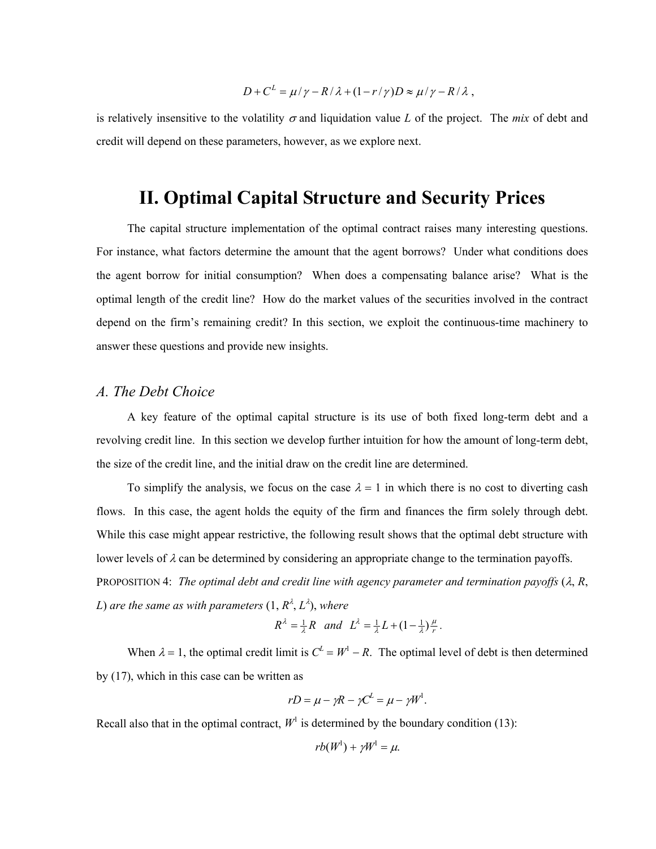$$
D + C^{L} = \mu / \gamma - R / \lambda + (1 - r / \gamma) D \approx \mu / \gamma - R / \lambda,
$$

is relatively insensitive to the volatility  $\sigma$  and liquidation value *L* of the project. The *mix* of debt and credit will depend on these parameters, however, as we explore next.

# **II. Optimal Capital Structure and Security Prices**

The capital structure implementation of the optimal contract raises many interesting questions. For instance, what factors determine the amount that the agent borrows? Under what conditions does the agent borrow for initial consumption? When does a compensating balance arise? What is the optimal length of the credit line? How do the market values of the securities involved in the contract depend on the firm's remaining credit? In this section, we exploit the continuous-time machinery to answer these questions and provide new insights.

### *A. The Debt Choice*

A key feature of the optimal capital structure is its use of both fixed long-term debt and a revolving credit line. In this section we develop further intuition for how the amount of long-term debt, the size of the credit line, and the initial draw on the credit line are determined.

To simplify the analysis, we focus on the case  $\lambda = 1$  in which there is no cost to diverting cash flows. In this case, the agent holds the equity of the firm and finances the firm solely through debt. While this case might appear restrictive, the following result shows that the optimal debt structure with lower levels of  $\lambda$  can be determined by considering an appropriate change to the termination payoffs.

PROPOSITION 4: *The optimal debt and credit line with agency parameter and termination payoffs*  $(\lambda, R, \lambda)$ *L*) are the same as with parameters  $(1, R^{\lambda}, L^{\lambda})$ , where

$$
R^{\lambda} = \frac{1}{\lambda} R
$$
 and  $L^{\lambda} = \frac{1}{\lambda} L + (1 - \frac{1}{\lambda}) \frac{\mu}{r}$ .

When  $\lambda = 1$ , the optimal credit limit is  $C^L = W^1 - R$ . The optimal level of debt is then determined by (17), which in this case can be written as

$$
rD = \mu - \gamma R - \gamma C^{L} = \mu - \gamma W^{1}.
$$

Recall also that in the optimal contract,  $W^1$  is determined by the boundary condition (13):

$$
rb(W^1) + \gamma W^1 = \mu.
$$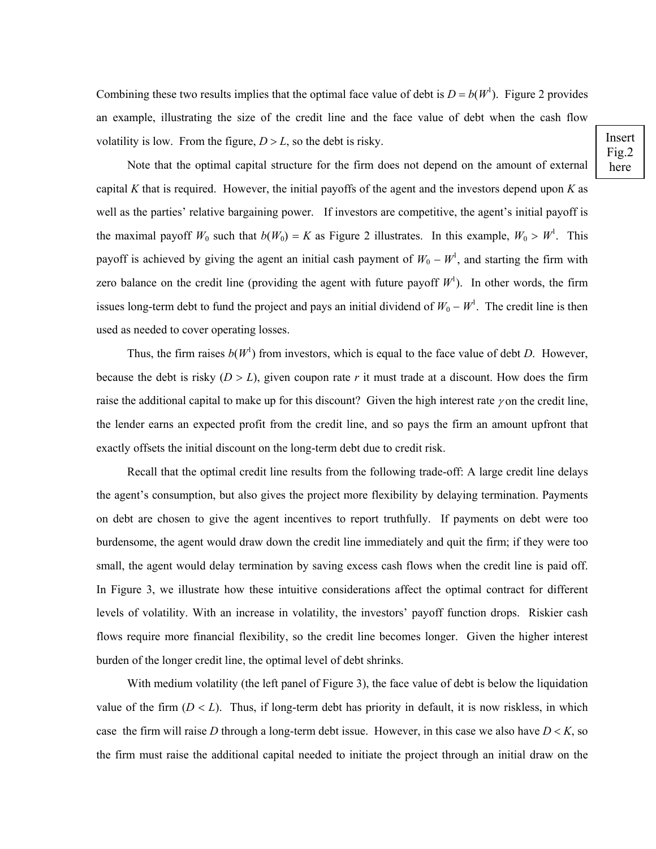Combining these two results implies that the optimal face value of debt is  $D = b(W^1)$ . Figure 2 provides an example, illustrating the size of the credit line and the face value of debt when the cash flow volatility is low. From the figure,  $D > L$ , so the debt is risky.

Note that the optimal capital structure for the firm does not depend on the amount of external capital *K* that is required. However, the initial payoffs of the agent and the investors depend upon *K* as well as the parties' relative bargaining power. If investors are competitive, the agent's initial payoff is the maximal payoff  $W_0$  such that  $b(W_0) = K$  as Figure 2 illustrates. In this example,  $W_0 > W^1$ . This payoff is achieved by giving the agent an initial cash payment of  $W_0 - W_1^1$ , and starting the firm with zero balance on the credit line (providing the agent with future payoff  $W<sup>1</sup>$ ). In other words, the firm issues long-term debt to fund the project and pays an initial dividend of  $W_0 - W_1$ . The credit line is then used as needed to cover operating losses.

Thus, the firm raises  $b(W^1)$  from investors, which is equal to the face value of debt *D*. However, because the debt is risky  $(D > L)$ , given coupon rate r it must trade at a discount. How does the firm raise the additional capital to make up for this discount? Given the high interest rate  $\gamma$  on the credit line, the lender earns an expected profit from the credit line, and so pays the firm an amount upfront that exactly offsets the initial discount on the long-term debt due to credit risk.

Recall that the optimal credit line results from the following trade-off: A large credit line delays the agent's consumption, but also gives the project more flexibility by delaying termination. Payments on debt are chosen to give the agent incentives to report truthfully. If payments on debt were too burdensome, the agent would draw down the credit line immediately and quit the firm; if they were too small, the agent would delay termination by saving excess cash flows when the credit line is paid off. In Figure 3, we illustrate how these intuitive considerations affect the optimal contract for different levels of volatility. With an increase in volatility, the investors' payoff function drops. Riskier cash flows require more financial flexibility, so the credit line becomes longer. Given the higher interest burden of the longer credit line, the optimal level of debt shrinks.

With medium volatility (the left panel of Figure 3), the face value of debt is below the liquidation value of the firm  $(D < L)$ . Thus, if long-term debt has priority in default, it is now riskless, in which case the firm will raise *D* through a long-term debt issue. However, in this case we also have  $D < K$ , so the firm must raise the additional capital needed to initiate the project through an initial draw on the

Insert Fig.2 here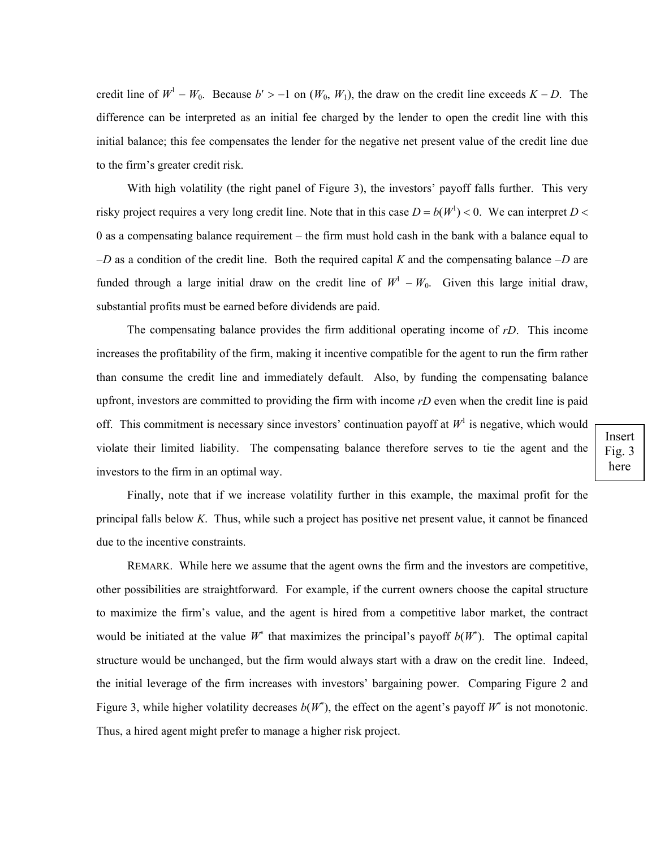credit line of  $W<sup>1</sup> - W<sub>0</sub>$ . Because  $b' > -1$  on  $(W<sub>0</sub>, W<sub>1</sub>)$ , the draw on the credit line exceeds  $K - D$ . The difference can be interpreted as an initial fee charged by the lender to open the credit line with this initial balance; this fee compensates the lender for the negative net present value of the credit line due to the firm's greater credit risk.

With high volatility (the right panel of Figure 3), the investors' payoff falls further. This very risky project requires a very long credit line. Note that in this case  $D = b(W^1) < 0$ . We can interpret  $D <$ 0 as a compensating balance requirement – the firm must hold cash in the bank with a balance equal to −*D* as a condition of the credit line. Both the required capital *K* and the compensating balance −*D* are funded through a large initial draw on the credit line of  $W^1 - W_0$ . Given this large initial draw, substantial profits must be earned before dividends are paid.

The compensating balance provides the firm additional operating income of *rD*. This income increases the profitability of the firm, making it incentive compatible for the agent to run the firm rather than consume the credit line and immediately default. Also, by funding the compensating balance upfront, investors are committed to providing the firm with income *rD* even when the credit line is paid off. This commitment is necessary since investors' continuation payoff at  $W<sup>1</sup>$  is negative, which would violate their limited liability. The compensating balance therefore serves to tie the agent and the investors to the firm in an optimal way.

Insert Fig. 3 here

Finally, note that if we increase volatility further in this example, the maximal profit for the principal falls below *K*. Thus, while such a project has positive net present value, it cannot be financed due to the incentive constraints.

REMARK. While here we assume that the agent owns the firm and the investors are competitive, other possibilities are straightforward. For example, if the current owners choose the capital structure to maximize the firm's value, and the agent is hired from a competitive labor market, the contract would be initiated at the value  $W^*$  that maximizes the principal's payoff  $b(W^*)$ . The optimal capital structure would be unchanged, but the firm would always start with a draw on the credit line. Indeed, the initial leverage of the firm increases with investors' bargaining power. Comparing Figure 2 and Figure 3, while higher volatility decreases  $b(W^*)$ , the effect on the agent's payoff  $W^*$  is not monotonic. Thus, a hired agent might prefer to manage a higher risk project.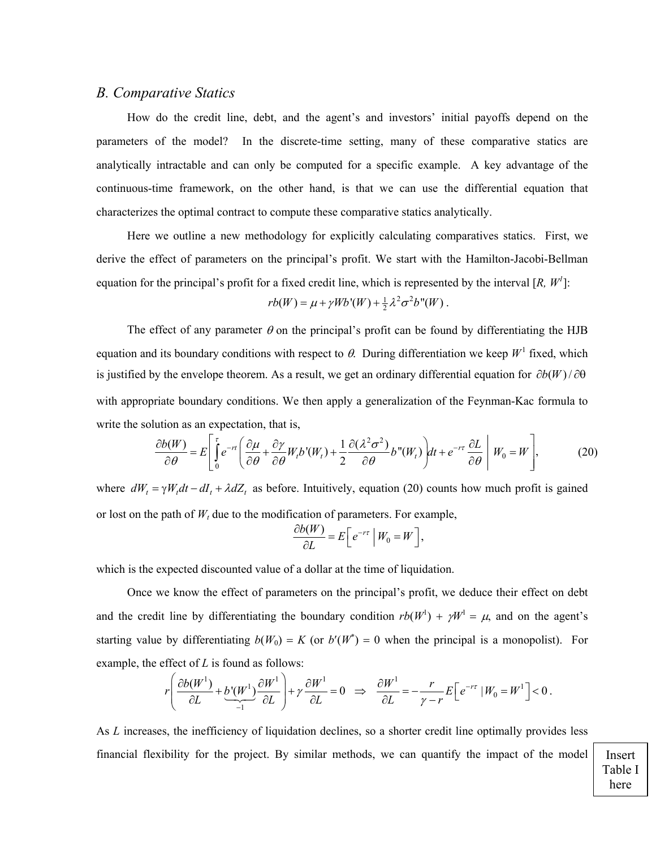#### *B. Comparative Statics*

How do the credit line, debt, and the agent's and investors' initial payoffs depend on the parameters of the model? In the discrete-time setting, many of these comparative statics are analytically intractable and can only be computed for a specific example. A key advantage of the continuous-time framework, on the other hand, is that we can use the differential equation that characterizes the optimal contract to compute these comparative statics analytically.

Here we outline a new methodology for explicitly calculating comparatives statics. First, we derive the effect of parameters on the principal's profit. We start with the Hamilton-Jacobi-Bellman equation for the principal's profit for a fixed credit line, which is represented by the interval  $[R, W^l]$ :  $rb(W) = \mu + \gamma Wb'(W) + \frac{1}{2} \lambda^2 \sigma^2 b''(W)$ .

The effect of any parameter 
$$
\theta
$$
 on the principal's profit can be found by differentiating the HJB equation and its boundary conditions with respect to  $\theta$ . During differentiation we keep  $W^1$  fixed, which is justified by the envelope theorem. As a result, we get an ordinary differential equation for  $\partial b(W)/\partial \theta$  with appropriate boundary conditions. We then apply a generalization of the Feynman-Kac formula to write the solution as an expectation, that is,

$$
\frac{\partial b(W)}{\partial \theta} = E \left[ \int_{0}^{\tau} e^{-rt} \left( \frac{\partial \mu}{\partial \theta} + \frac{\partial \gamma}{\partial \theta} W_{t} b'(W_{t}) + \frac{1}{2} \frac{\partial (\lambda^{2} \sigma^{2})}{\partial \theta} b''(W_{t}) \right) dt + e^{-rt} \frac{\partial L}{\partial \theta} \right| W_{0} = W \right],
$$
 (20)

where  $dW_t = \gamma W_t dt - dI_t + \lambda dZ_t$  as before. Intuitively, equation (20) counts how much profit is gained or lost on the path of  $W_t$  due to the modification of parameters. For example,

$$
\frac{\partial b(W)}{\partial L} = E\bigg[e^{-r\tau} \mid W_0 = W\bigg],
$$

which is the expected discounted value of a dollar at the time of liquidation.

Once we know the effect of parameters on the principal's profit, we deduce their effect on debt and the credit line by differentiating the boundary condition  $rb(W^1) + \gamma W^1 = \mu$ , and on the agent's starting value by differentiating  $b(W_0) = K$  (or  $b'(W^*) = 0$  when the principal is a monopolist). For example, the effect of *L* is found as follows:

$$
r\left(\frac{\partial b(W^1)}{\partial L} + \underbrace{b'(W^1)}_{-1} \frac{\partial W^1}{\partial L}\right) + \gamma \frac{\partial W^1}{\partial L} = 0 \quad \Rightarrow \quad \frac{\partial W^1}{\partial L} = -\frac{r}{\gamma - r} E\Big[e^{-r\tau} \, | \, W_0 = W^1\Big] < 0 \, .
$$

<span id="page-18-0"></span>As *L* increases, the inefficiency of liquidation declines, so a shorter credit line optimally provides less financial flexibility for the project. By similar methods, we can quantify the impact of the model Insert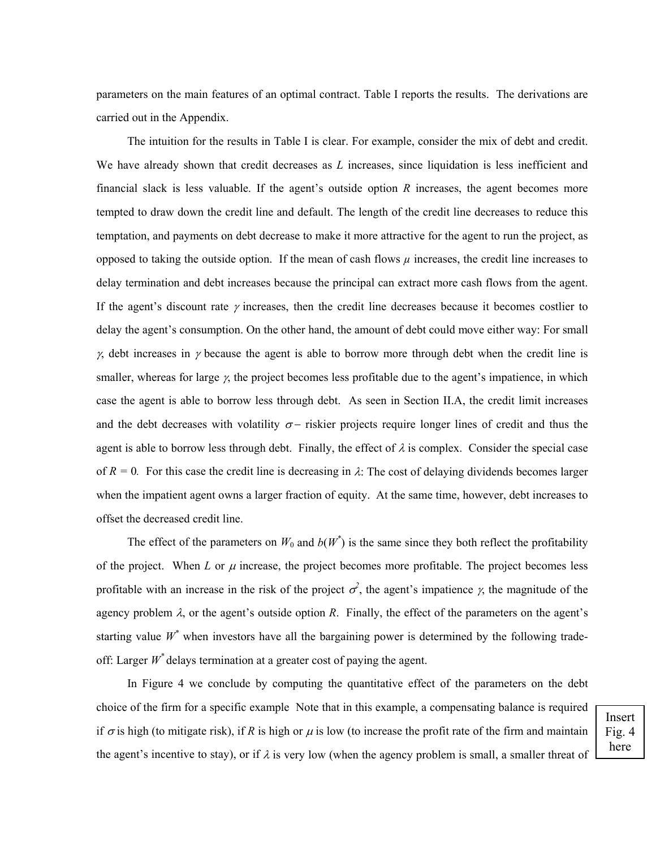parameters on the main features of an optimal contract. Table I reports the results. The derivations are carried out in the Appendix.

The intuition for the results in Table I is clear. For example, consider the mix of debt and credit. We have already shown that credit decreases as *L* increases, since liquidation is less inefficient and financial slack is less valuable. If the agent's outside option *R* increases, the agent becomes more tempted to draw down the credit line and default. The length of the credit line decreases to reduce this temptation, and payments on debt decrease to make it more attractive for the agent to run the project, as opposed to taking the outside option. If the mean of cash flows  $\mu$  increases, the credit line increases to delay termination and debt increases because the principal can extract more cash flows from the agent. If the agent's discount rate  $\gamma$  increases, then the credit line decreases because it becomes costlier to delay the agent's consumption. On the other hand, the amount of debt could move either way: For small  $γ$ , debt increases in  $γ$  because the agent is able to borrow more through debt when the credit line is smaller, whereas for large  $\gamma$ , the project becomes less profitable due to the agent's impatience, in which case the agent is able to borrow less through debt. As seen in Section II.A, the credit limit increases and the debt decreases with volatility  $\sigma$  – riskier projects require longer lines of credit and thus the agent is able to borrow less through debt. Finally, the effect of  $\lambda$  is complex. Consider the special case of  $R = 0$ . For this case the credit line is decreasing in  $\lambda$ : The cost of delaying dividends becomes larger when the impatient agent owns a larger fraction of equity. At the same time, however, debt increases to offset the decreased credit line.

The effect of the parameters on  $W_0$  and  $b(W^*)$  is the same since they both reflect the profitability of the project. When *L* or  $\mu$  increase, the project becomes more profitable. The project becomes less profitable with an increase in the risk of the project  $\sigma^2$ , the agent's impatience  $\gamma$ , the magnitude of the agency problem  $\lambda$ , or the agent's outside option  $R$ . Finally, the effect of the parameters on the agent's starting value  $W^*$  when investors have all the bargaining power is determined by the following tradeoff: Larger *W\** delays termination at a greater cost of paying the agent.

In Figure 4 we conclude by computing the quantitative effect of the parameters on the debt choice of the firm for a specific example Note that in this example, a compensating balance is required if  $\sigma$  is high (to mitigate risk), if *R* is high or  $\mu$  is low (to increase the profit rate of the firm and maintain the agent's incentive to stay), or if  $\lambda$  is very low (when the agency problem is small, a smaller threat of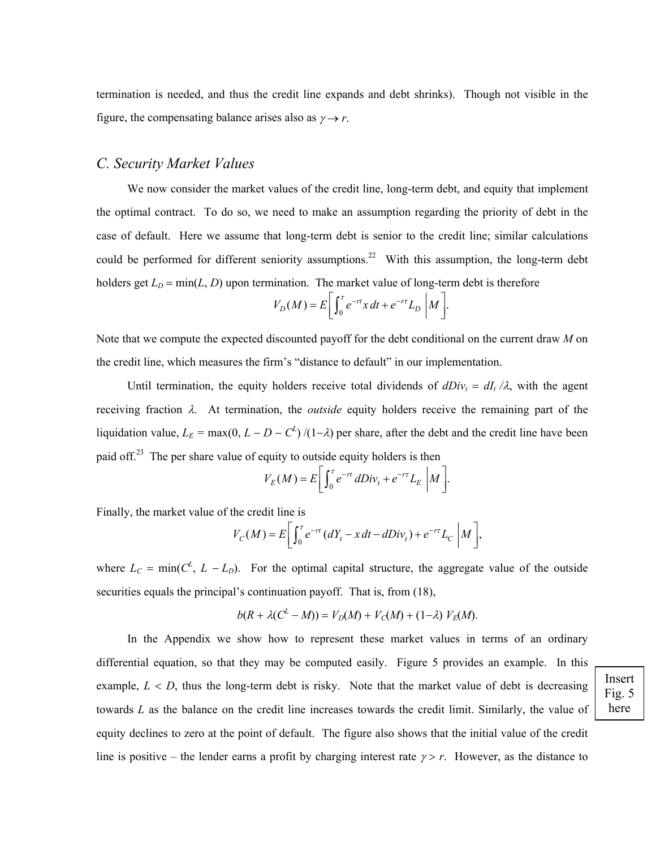termination is needed, and thus the credit line expands and debt shrinks). Though not visible in the figure, the compensating balance arises also as  $\gamma \rightarrow r$ .

### *C. Security Market Values*

We now consider the market values of the credit line, long-term debt, and equity that implement the optimal contract. To do so, we need to make an assumption regarding the priority of debt in the case of default. Here we assume that long-term debt is senior to the credit line; similar calculations could be performed for different seniority assumptions.<sup>22</sup> With this assumption, the long-term debt holders get  $L_D = min(L, D)$  upon termination. The market value of long-term debt is therefore

$$
V_D(M) = E\bigg[\int_0^{\tau} e^{-rt}x\,dt + e^{-rt}L_D\bigg|M\bigg].
$$

Note that we compute the expected discounted payoff for the debt conditional on the current draw *M* on the credit line, which measures the firm's "distance to default" in our implementation.

Until termination, the equity holders receive total dividends of  $dDiv_t = dI_t/\lambda$ , with the agent receiving fraction λ. At termination, the *outside* equity holders receive the remaining part of the liquidation value,  $L_E = \max(0, L - D - C^L) / (1 - \lambda)$  per share, after the debt and the credit line have been paid off.<sup>23</sup> The per share value of equity to outside equity holders is then

$$
V_E(M) = E\bigg[\int_0^{\tau} e^{-rt} dDiv_t + e^{-rt} L_E \bigg|M\bigg].
$$

Finally, the market value of the credit line is

$$
V_C(M) = E\bigg[\int_0^{\tau} e^{-rt} (dY_t - x dt - dDiv_t) + e^{-rt} L_C \bigg|M\bigg],
$$

where  $L_C = \min(C^L, L - L_D)$ . For the optimal capital structure, the aggregate value of the outside securities equals the principal's continuation payoff. That is, from (18),

$$
b(R + \lambda(C^{L} - M)) = V_D(M) + V_C(M) + (1 - \lambda) V_E(M).
$$

In the Appendix we show how to represent these market values in terms of an ordinary differential equation, so that they may be computed easily. Figure 5 provides an example. In this example,  $L < D$ , thus the long-term debt is risky. Note that the market value of debt is decreasing towards *L* as the balance on the credit line increases towards the credit limit. Similarly, the value of equity declines to zero at the point of default. The figure also shows that the initial value of the credit line is positive – the lender earns a profit by charging interest rate  $\gamma > r$ . However, as the distance to

Insert Fig. 5 here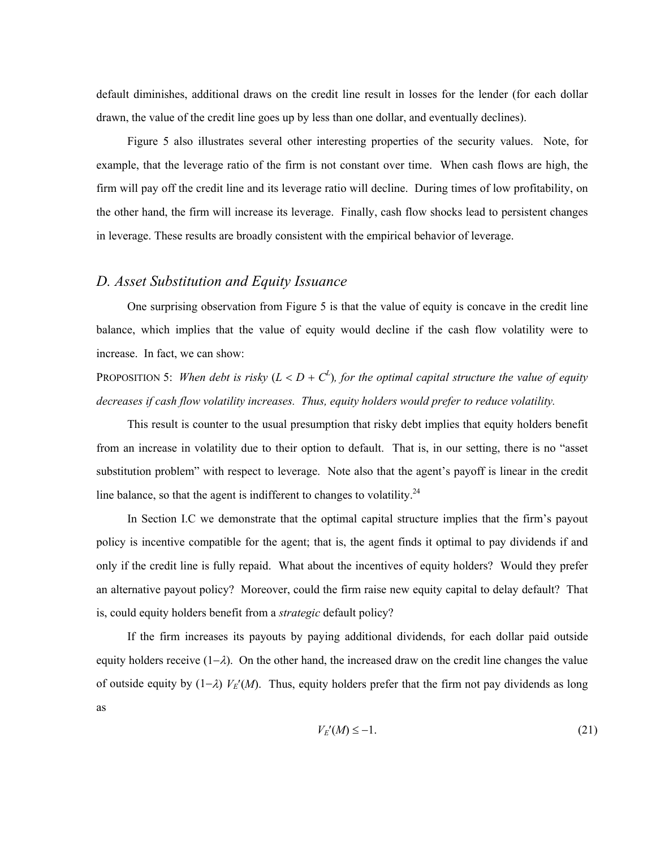default diminishes, additional draws on the credit line result in losses for the lender (for each dollar drawn, the value of the credit line goes up by less than one dollar, and eventually declines).

Figure 5 also illustrates several other interesting properties of the security values. Note, for example, that the leverage ratio of the firm is not constant over time. When cash flows are high, the firm will pay off the credit line and its leverage ratio will decline. During times of low profitability, on the other hand, the firm will increase its leverage. Finally, cash flow shocks lead to persistent changes in leverage. These results are broadly consistent with the empirical behavior of leverage.

#### *D. Asset Substitution and Equity Issuance*

One surprising observation from Figure 5 is that the value of equity is concave in the credit line balance, which implies that the value of equity would decline if the cash flow volatility were to increase. In fact, we can show:

PROPOSITION 5: When debt is risky ( $L < D + C^L$ ), for the optimal capital structure the value of equity *decreases if cash flow volatility increases. Thus, equity holders would prefer to reduce volatility.* 

This result is counter to the usual presumption that risky debt implies that equity holders benefit from an increase in volatility due to their option to default. That is, in our setting, there is no "asset substitution problem" with respect to leverage. Note also that the agent's payoff is linear in the credit line balance, so that the agent is indifferent to changes to volatility.<sup>24</sup>

In Section I.C we demonstrate that the optimal capital structure implies that the firm's payout policy is incentive compatible for the agent; that is, the agent finds it optimal to pay dividends if and only if the credit line is fully repaid. What about the incentives of equity holders? Would they prefer an alternative payout policy? Moreover, could the firm raise new equity capital to delay default? That is, could equity holders benefit from a *strategic* default policy?

If the firm increases its payouts by paying additional dividends, for each dollar paid outside equity holders receive (1−λ). On the other hand, the increased draw on the credit line changes the value of outside equity by (1−λ) *VE*′(*M*). Thus, equity holders prefer that the firm not pay dividends as long as

$$
V_E'(M) \le -1. \tag{21}
$$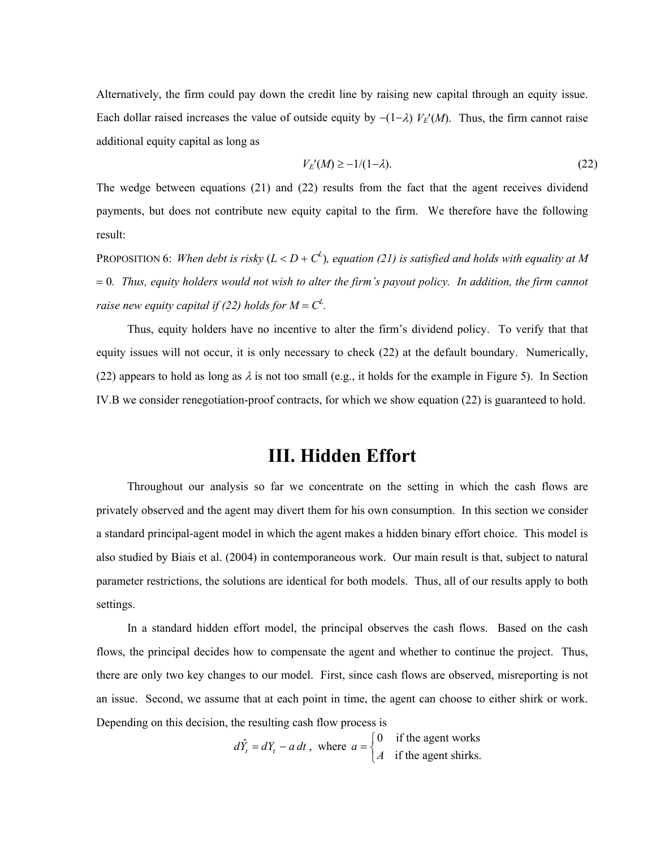Alternatively, the firm could pay down the credit line by raising new capital through an equity issue. Each dollar raised increases the value of outside equity by  $-(1-\lambda) V_E'(M)$ . Thus, the firm cannot raise additional equity capital as long as

$$
V_E'(M) \ge -1/(1-\lambda). \tag{22}
$$

The wedge between equations (21) and (22) results from the fact that the agent receives dividend payments, but does not contribute new equity capital to the firm. We therefore have the following result:

PROPOSITION 6: When debt is risky ( $L < D + C^L$ ), equation (21) is satisfied and holds with equality at M = 0*. Thus, equity holders would not wish to alter the firm's payout policy. In addition, the firm cannot raise new equity capital if (22) holds for*  $M = C^L$ *.* 

Thus, equity holders have no incentive to alter the firm's dividend policy. To verify that that equity issues will not occur, it is only necessary to check (22) at the default boundary. Numerically, (22) appears to hold as long as  $\lambda$  is not too small (e.g., it holds for the example in Figure 5). In Section IV.B we consider renegotiation-proof contracts, for which we show equation (22) is guaranteed to hold.

## **III. Hidden Effort**

Throughout our analysis so far we concentrate on the setting in which the cash flows are privately observed and the agent may divert them for his own consumption. In this section we consider a standard principal-agent model in which the agent makes a hidden binary effort choice. This model is also studied by Biais et al. (2004) in contemporaneous work. Our main result is that, subject to natural parameter restrictions, the solutions are identical for both models. Thus, all of our results apply to both settings.

In a standard hidden effort model, the principal observes the cash flows. Based on the cash flows, the principal decides how to compensate the agent and whether to continue the project. Thus, there are only two key changes to our model. First, since cash flows are observed, misreporting is not an issue. Second, we assume that at each point in time, the agent can choose to either shirk or work. Depending on this decision, the resulting cash flow process is

> $d\hat{Y}_t = dY_t - a dt$ , where  $a = \begin{cases} 0 & \text{if the agent works} \\ A & \text{if the agent shifts.} \end{cases}$ *a*  $=\begin{cases} 0 \\ A \end{cases}$  $\overline{a}$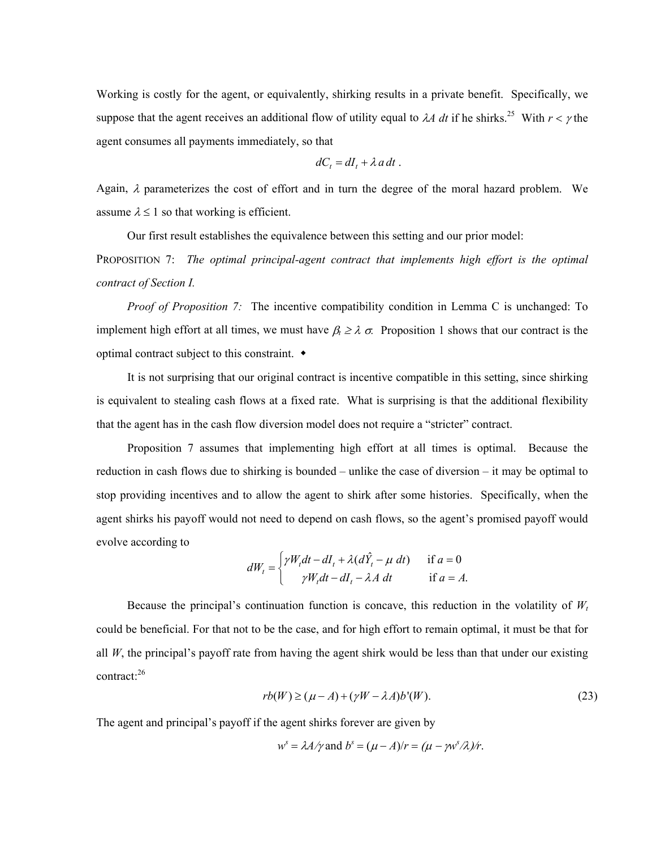Working is costly for the agent, or equivalently, shirking results in a private benefit. Specifically, we suppose that the agent receives an additional flow of utility equal to  $\lambda A$  dt if he shirks.<sup>25</sup> With  $r < \nu$  the agent consumes all payments immediately, so that

$$
dC_t = dI_t + \lambda a dt.
$$

Again,  $\lambda$  parameterizes the cost of effort and in turn the degree of the moral hazard problem. We assume  $\lambda \leq 1$  so that working is efficient.

Our first result establishes the equivalence between this setting and our prior model:

PROPOSITION 7: The optimal principal-agent contract that implements high effort is the optimal *contract of Section I.* 

*Proof of Proposition 7:* The incentive compatibility condition in Lemma C is unchanged: To implement high effort at all times, we must have  $\beta_t \geq \lambda \sigma$ . Proposition 1 shows that our contract is the optimal contract subject to this constraint.

It is not surprising that our original contract is incentive compatible in this setting, since shirking is equivalent to stealing cash flows at a fixed rate. What is surprising is that the additional flexibility that the agent has in the cash flow diversion model does not require a "stricter" contract.

Proposition 7 assumes that implementing high effort at all times is optimal. Because the reduction in cash flows due to shirking is bounded – unlike the case of diversion – it may be optimal to stop providing incentives and to allow the agent to shirk after some histories. Specifically, when the agent shirks his payoff would not need to depend on cash flows, so the agent's promised payoff would evolve according to

$$
dW_t = \begin{cases} \gamma W_t dt - dI_t + \lambda (d\hat{Y}_t - \mu dt) & \text{if } a = 0\\ \gamma W_t dt - dI_t - \lambda A dt & \text{if } a = A. \end{cases}
$$

Because the principal's continuation function is concave, this reduction in the volatility of  $W_t$ could be beneficial. For that not to be the case, and for high effort to remain optimal, it must be that for all *W*, the principal's payoff rate from having the agent shirk would be less than that under our existing contract: $26$ 

$$
rb(W) \ge (\mu - A) + (\gamma W - \lambda A)b'(W). \tag{23}
$$

The agent and principal's payoff if the agent shirks forever are given by

$$
w^s = \lambda A/\gamma
$$
 and  $b^s = (\mu - A)/r = (\mu - \gamma w^s/\lambda)/r$ .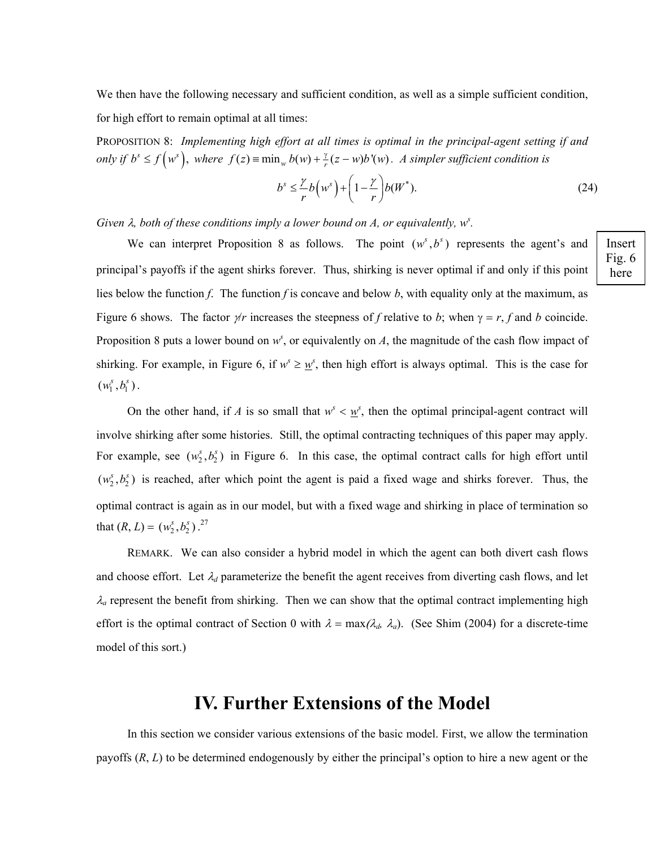We then have the following necessary and sufficient condition, as well as a simple sufficient condition, for high effort to remain optimal at all times:

PROPOSITION 8: *Implementing high effort at all times is optimal in the principal-agent setting if and only if*  $b^s \le f(w^s)$ , *where*  $f(z) = \min_w b(w) + \frac{\gamma}{r}(z - w)b'(w)$ . *A simpler sufficient condition is* 

$$
b^{s} \leq \frac{\gamma}{r}b\left(w^{s}\right)+\left(1-\frac{\gamma}{r}\right)b(W^{*}).
$$
\n(24)

*Given*  $\lambda$ *, both of these conditions imply a lower bound on A, or equivalently, w<sup>s</sup>.* 

We can interpret Proposition 8 as follows. The point  $(w^s, b^s)$  represents the agent's and principal's payoffs if the agent shirks forever. Thus, shirking is never optimal if and only if this point lies below the function *f*. The function *f* is concave and below *b*, with equality only at the maximum, as Figure 6 shows. The factor  $\gamma/r$  increases the steepness of f relative to b; when  $\gamma = r$ , f and b coincide. Proposition 8 puts a lower bound on  $w^s$ , or equivalently on *A*, the magnitude of the cash flow impact of shirking. For example, in Figure 6, if  $w^s \geq w^s$ , then high effort is always optimal. This is the case for  $(w_1^s, b_1^s)$ .

On the other hand, if *A* is so small that  $w^s < w^s$ , then the optimal principal-agent contract will involve shirking after some histories. Still, the optimal contracting techniques of this paper may apply. For example, see  $(w_2^s, b_2^s)$  in Figure 6. In this case, the optimal contract calls for high effort until  $(w_2^s, b_2^s)$  is reached, after which point the agent is paid a fixed wage and shirks forever. Thus, the optimal contract is again as in our model, but with a fixed wage and shirking in place of termination so that  $(R, L) = (w_2^s, b_2^s)$ .<sup>27</sup>

REMARK. We can also consider a hybrid model in which the agent can both divert cash flows and choose effort. Let  $\lambda_d$  parameterize the benefit the agent receives from diverting cash flows, and let  $\lambda_a$  represent the benefit from shirking. Then we can show that the optimal contract implementing high effort is the optimal contract of Section [0](#page-5-0) with  $\lambda = \max(\lambda_d, \lambda_a)$ . (See Shim (2004) for a discrete-time model of this sort.)

# **IV. Further Extensions of the Model**

In this section we consider various extensions of the basic model. First, we allow the termination payoffs (*R*, *L*) to be determined endogenously by either the principal's option to hire a new agent or the

Insert Fig. 6 here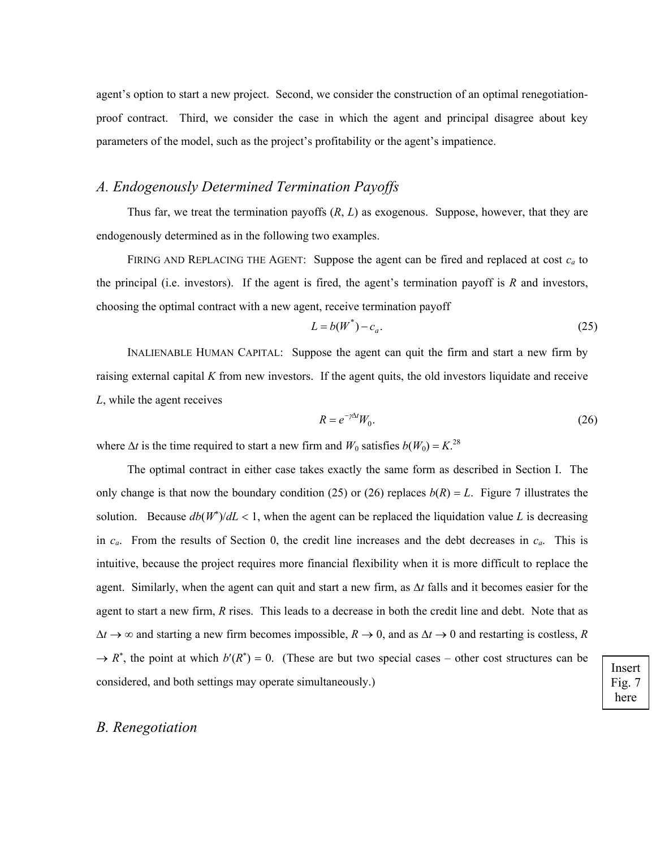agent's option to start a new project. Second, we consider the construction of an optimal renegotiationproof contract. Third, we consider the case in which the agent and principal disagree about key parameters of the model, such as the project's profitability or the agent's impatience.

## *A. Endogenously Determined Termination Payoffs*

Thus far, we treat the termination payoffs (*R*, *L*) as exogenous. Suppose, however, that they are endogenously determined as in the following two examples.

FIRING AND REPLACING THE AGENT: Suppose the agent can be fired and replaced at cost *ca* to the principal (i.e. investors). If the agent is fired, the agent's termination payoff is *R* and investors, choosing the optimal contract with a new agent, receive termination payoff

$$
L = b(W^*) - c_a. \tag{25}
$$

INALIENABLE HUMAN CAPITAL: Suppose the agent can quit the firm and start a new firm by raising external capital *K* from new investors. If the agent quits, the old investors liquidate and receive *L*, while the agent receives

$$
R = e^{-\gamma \Delta t} W_0. \tag{26}
$$

where  $\Delta t$  is the time required to start a new firm and  $W_0$  satisfies  $b(W_0) = K^{28}$ .

The optimal contract in either case takes exactly the same form as described in Section I. The only change is that now the boundary condition (25) or (26) replaces  $b(R) = L$ . Figure 7 illustrates the solution. Because  $db(W^*)/dL < 1$ , when the agent can be replaced the liquidation value *L* is decreasing in *ca*. From the results of Section [0,](#page-18-0) the credit line increases and the debt decreases in *ca*. This is intuitive, because the project requires more financial flexibility when it is more difficult to replace the agent. Similarly, when the agent can quit and start a new firm, as ∆*t* falls and it becomes easier for the agent to start a new firm, *R* rises. This leads to a decrease in both the credit line and debt. Note that as ∆*t* → ∞ and starting a new firm becomes impossible, *R* → 0, and as ∆*t* → 0 and restarting is costless, *R*  $\rightarrow R^*$ , the point at which  $b'(R^*) = 0$ . (These are but two special cases – other cost structures can be considered, and both settings may operate simultaneously.)

Insert Fig. 7 here

### *B. Renegotiation*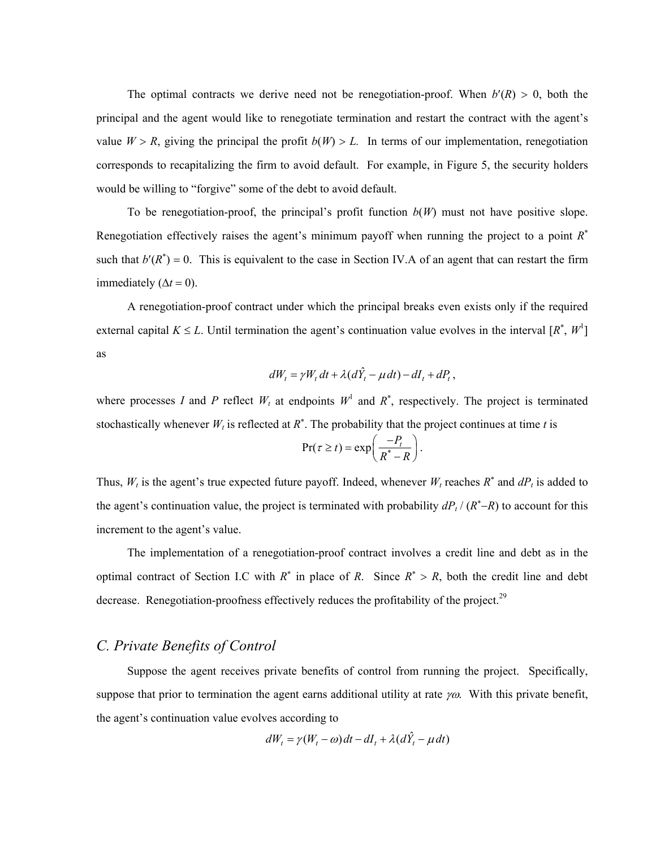The optimal contracts we derive need not be renegotiation-proof. When  $b'(R) > 0$ , both the principal and the agent would like to renegotiate termination and restart the contract with the agent's value  $W > R$ , giving the principal the profit  $b(W) > L$ . In terms of our implementation, renegotiation corresponds to recapitalizing the firm to avoid default. For example, in Figure 5, the security holders would be willing to "forgive" some of the debt to avoid default.

To be renegotiation-proof, the principal's profit function  $b(W)$  must not have positive slope. Renegotiation effectively raises the agent's minimum payoff when running the project to a point *R*<sup>∗</sup> such that  $b'(R^*) = 0$ . This is equivalent to the case in Section IV.A of an agent that can restart the firm immediately ( $\Delta t = 0$ ).

A renegotiation-proof contract under which the principal breaks even exists only if the required external capital  $K \leq L$ . Until termination the agent's continuation value evolves in the interval  $[R^*, W^]$ as

$$
dW_t = \gamma W_t dt + \lambda (d\hat{Y}_t - \mu dt) - dI_t + dP_t,
$$

where processes *I* and *P* reflect  $W_t$  at endpoints  $W^1$  and  $R^*$ , respectively. The project is terminated stochastically whenever  $W_t$  is reflected at  $R^*$ . The probability that the project continues at time *t* is

$$
Pr(\tau \ge t) = \exp\left(\frac{-P_t}{R^*-R}\right).
$$

Thus,  $W_t$  is the agent's true expected future payoff. Indeed, whenever  $W_t$  reaches  $R^*$  and  $dP_t$  is added to the agent's continuation value, the project is terminated with probability  $dP_t$  / ( $R^*$ – $R$ ) to account for this increment to the agent's value.

The implementation of a renegotiation-proof contract involves a credit line and debt as in the optimal contract of Section I.C with  $R^*$  in place of  $R$ . Since  $R^* > R$ , both the credit line and debt decrease. Renegotiation-proofness effectively reduces the profitability of the project.<sup>29</sup>

## *C. Private Benefits of Control*

Suppose the agent receives private benefits of control from running the project. Specifically, suppose that prior to termination the agent earns additional utility at rate  $\gamma\omega$ . With this private benefit, the agent's continuation value evolves according to

$$
dW_t = \gamma (W_t - \omega) dt - dI_t + \lambda (d\hat{Y}_t - \mu dt)
$$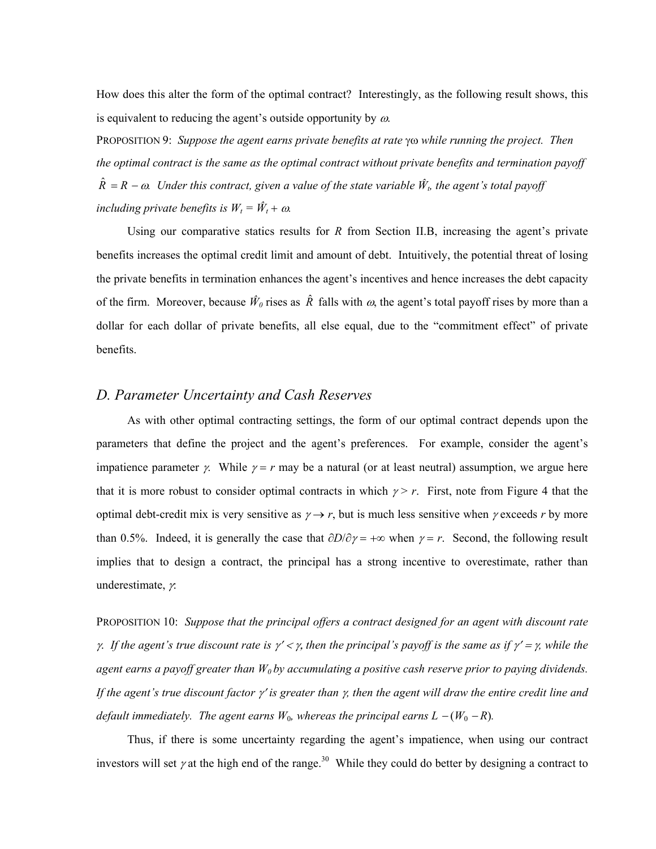How does this alter the form of the optimal contract? Interestingly, as the following result shows, this is equivalent to reducing the agent's outside opportunity by  $\omega$ .

PROPOSITION 9: *Suppose the agent earns private benefits at rate* γω *while running the project. Then the optimal contract is the same as the optimal contract without private benefits and termination payoff*   $\hat{R} = R - \omega$ . Under this contract, given a value of the state variable  $\hat{W}_t$ , the agent's total payoff *including private benefits is*  $W_t = \hat{W}_t + \omega$ .

Using our comparative statics results for *R* from Section II.B, increasing the agent's private benefits increases the optimal credit limit and amount of debt. Intuitively, the potential threat of losing the private benefits in termination enhances the agent's incentives and hence increases the debt capacity of the firm. Moreover, because  $\hat{W}_0$  rises as  $\hat{R}$  falls with  $\omega$ , the agent's total payoff rises by more than a dollar for each dollar of private benefits, all else equal, due to the "commitment effect" of private benefits.

#### *D. Parameter Uncertainty and Cash Reserves*

As with other optimal contracting settings, the form of our optimal contract depends upon the parameters that define the project and the agent's preferences. For example, consider the agent's impatience parameter *γ*. While  $\gamma = r$  may be a natural (or at least neutral) assumption, we argue here that it is more robust to consider optimal contracts in which  $\gamma > r$ . First, note from Figure 4 that the optimal debt-credit mix is very sensitive as  $\gamma \rightarrow r$ , but is much less sensitive when  $\gamma$  exceeds r by more than 0.5%. Indeed, it is generally the case that  $\partial D/\partial \gamma = +\infty$  when  $\gamma = r$ . Second, the following result implies that to design a contract, the principal has a strong incentive to overestimate, rather than underestimate, γ:

PROPOSITION 10: *Suppose that the principal offers a contract designed for an agent with discount rate*  <sup>γ</sup>. *If the agent's true discount rate is* γ′ <sup>&</sup>lt; γ, *then the principal's payoff is the same as if* γ′ <sup>=</sup> <sup>γ</sup>*, while the agent earns a payoff greater than*  $W_0$  *by accumulating a positive cash reserve prior to paying dividends. If the agent's true discount factor* γ′ *is greater than* γ*, then the agent will draw the entire credit line and default immediately. The agent earns*  $W_0$ *, whereas the principal earns*  $L - (W_0 - R)$ *.* 

Thus, if there is some uncertainty regarding the agent's impatience, when using our contract investors will set  $\gamma$  at the high end of the range.<sup>30</sup> While they could do better by designing a contract to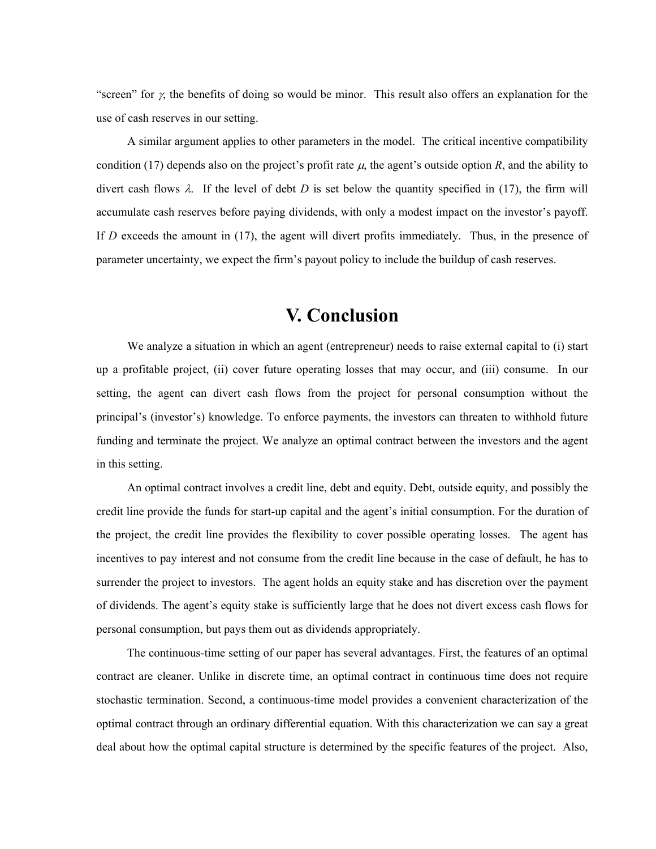"screen" for  $\gamma$ , the benefits of doing so would be minor. This result also offers an explanation for the use of cash reserves in our setting.

A similar argument applies to other parameters in the model. The critical incentive compatibility condition (17) depends also on the project's profit rate  $\mu$ , the agent's outside option *R*, and the ability to divert cash flows  $\lambda$ . If the level of debt *D* is set below the quantity specified in (17), the firm will accumulate cash reserves before paying dividends, with only a modest impact on the investor's payoff. If *D* exceeds the amount in (17), the agent will divert profits immediately. Thus, in the presence of parameter uncertainty, we expect the firm's payout policy to include the buildup of cash reserves.

# **V. Conclusion**

We analyze a situation in which an agent (entrepreneur) needs to raise external capital to (i) start up a profitable project, (ii) cover future operating losses that may occur, and (iii) consume. In our setting, the agent can divert cash flows from the project for personal consumption without the principal's (investor's) knowledge. To enforce payments, the investors can threaten to withhold future funding and terminate the project. We analyze an optimal contract between the investors and the agent in this setting.

An optimal contract involves a credit line, debt and equity. Debt, outside equity, and possibly the credit line provide the funds for start-up capital and the agent's initial consumption. For the duration of the project, the credit line provides the flexibility to cover possible operating losses. The agent has incentives to pay interest and not consume from the credit line because in the case of default, he has to surrender the project to investors. The agent holds an equity stake and has discretion over the payment of dividends. The agent's equity stake is sufficiently large that he does not divert excess cash flows for personal consumption, but pays them out as dividends appropriately.

The continuous-time setting of our paper has several advantages. First, the features of an optimal contract are cleaner. Unlike in discrete time, an optimal contract in continuous time does not require stochastic termination. Second, a continuous-time model provides a convenient characterization of the optimal contract through an ordinary differential equation. With this characterization we can say a great deal about how the optimal capital structure is determined by the specific features of the project. Also,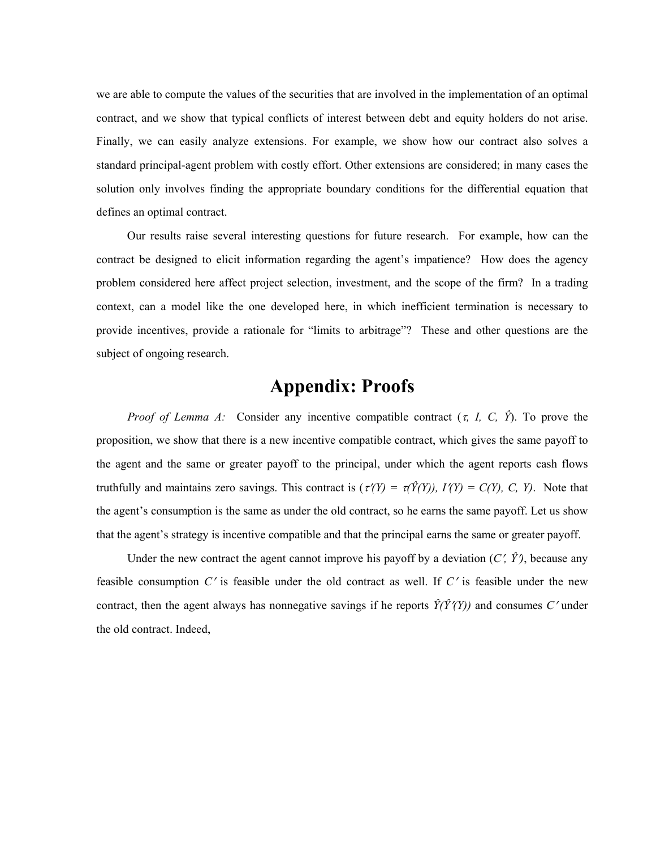we are able to compute the values of the securities that are involved in the implementation of an optimal contract, and we show that typical conflicts of interest between debt and equity holders do not arise. Finally, we can easily analyze extensions. For example, we show how our contract also solves a standard principal-agent problem with costly effort. Other extensions are considered; in many cases the solution only involves finding the appropriate boundary conditions for the differential equation that defines an optimal contract.

Our results raise several interesting questions for future research. For example, how can the contract be designed to elicit information regarding the agent's impatience? How does the agency problem considered here affect project selection, investment, and the scope of the firm? In a trading context, can a model like the one developed here, in which inefficient termination is necessary to provide incentives, provide a rationale for "limits to arbitrage"? These and other questions are the subject of ongoing research.

# **Appendix: Proofs**

*Proof of Lemma A:* Consider any incentive compatible contract  $(\tau, I, C, \hat{Y})$ . To prove the proposition, we show that there is a new incentive compatible contract, which gives the same payoff to the agent and the same or greater payoff to the principal, under which the agent reports cash flows truthfully and maintains zero savings. This contract is  $(\tau \gamma)' = \tau(\hat{Y}(Y))$ ,  $I'(\gamma) = C(Y)$ , C, Y). Note that the agent's consumption is the same as under the old contract, so he earns the same payoff. Let us show that the agent's strategy is incentive compatible and that the principal earns the same or greater payoff.

Under the new contract the agent cannot improve his payoff by a deviation  $(C, \hat{Y})$ , because any feasible consumption *C*′ is feasible under the old contract as well. If *C*′ is feasible under the new contract, then the agent always has nonnegative savings if he reports  $\hat{Y}(\hat{Y}'(Y))$  and consumes C'under the old contract. Indeed,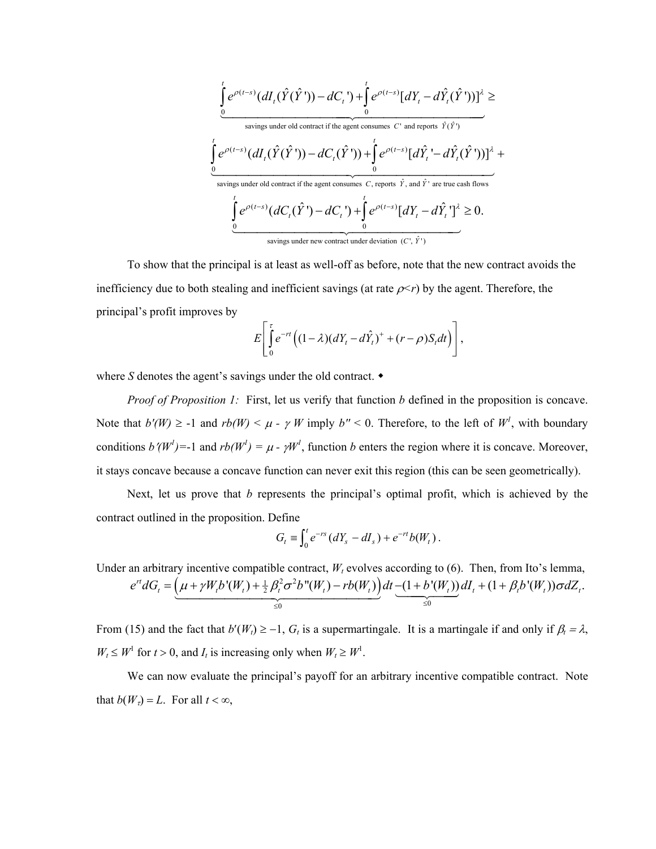$$
\underbrace{\int_{0}^{t} e^{\rho(t-s)} (dI_{t}(\hat{Y}(\hat{Y}^{\prime}))-dC_{t}^{\prime}) + \int_{0}^{t} e^{\rho(t-s)} [dY_{t}-d\hat{Y}_{t}(\hat{Y}^{\prime})]]^{2}}_{\text{savings under old contract if the agent consumes } C^{\prime} \text{ and reports } \hat{Y}(\hat{Y}^{\prime})
$$
\n
$$
\underbrace{\int_{0}^{t} e^{\rho(t-s)} (dI_{t}(\hat{Y}(\hat{Y}^{\prime}))-dC_{t}(\hat{Y}^{\prime})) + \int_{0}^{t} e^{\rho(t-s)} [d\hat{Y}_{t}^{\prime}-d\hat{Y}_{t}(\hat{Y}^{\prime})]]^{2}}_{\text{savings under old contract if the agent consumes } C, \text{ reports } \hat{Y}, \text{ and } \hat{Y}^{\prime} \text{ are true cash flows}
$$
\n
$$
\underbrace{\int_{0}^{t} e^{\rho(t-s)} (dC_{t}(\hat{Y}^{\prime})-dC_{t}^{\prime}) + \int_{0}^{t} e^{\rho(t-s)} [dY_{t}-d\hat{Y}_{t}^{\prime}]^{2}}_{\text{savings under new contract under deviation } (C^{\prime}, \hat{Y}^{\prime})}
$$

To show that the principal is at least as well-off as before, note that the new contract avoids the inefficiency due to both stealing and inefficient savings (at rate  $\rho \le r$ ) by the agent. Therefore, the principal's profit improves by

$$
E\left[\int\limits_0^{\tau}e^{-rt}\left((1-\lambda)(dY_t-d\hat{Y}_t)^++(r-\rho)S_tdt\right)\right],
$$

where *S* denotes the agent's savings under the old contract.  $\bullet$ 

*Proof of Proposition 1:* First, let us verify that function *b* defined in the proposition is concave. Note that  $b'(W) \ge -1$  and  $rb(W) \le \mu - \gamma W$  imply  $b'' \le 0$ . Therefore, to the left of  $W^l$ , with boundary conditions  $b'(W^1) = -1$  and  $rb(W^1) = \mu - \gamma W^1$ , function *b* enters the region where it is concave. Moreover, it stays concave because a concave function can never exit this region (this can be seen geometrically).

Next, let us prove that *b* represents the principal's optimal profit, which is achieved by the contract outlined in the proposition. Define

$$
G_t = \int_0^t e^{-rs} (dY_s - dI_s) + e^{-rt} b(W_t).
$$

Under an arbitrary incentive compatible contract,  $W_t$  evolves according to  $(6)$ . Then, from Ito's lemma,  $(\mu + \gamma W_{i} b'(W_{i}) + \frac{1}{2} \beta_{i}^{2} \sigma^{2} b''(W_{i}) - rb(W_{i})$  $\begin{aligned} \begin{cases} 0 \end{cases} \leq 0 \end{aligned}$  $e^{rt}dG_t = (\mu + \gamma W_t b'(W_t) + \frac{1}{2}\beta_t^2 \sigma^2 b''(W_t) - rb(W_t))dt - (1 + b'(W_t))dI_t + (1 + \beta_t b'(W_t))\sigma dZ_t$  $=\underbrace{( \mu + \gamma W_t b'(W_t) + \frac{1}{2} \beta_t^2 \sigma^2 b''(W_t) - rb(W_t))}_{\leq 0} dt \underbrace{-(1 + b'(W_t))}_{\leq 0} dI_t + (1 +$ 

From (15) and the fact that  $b'(W_t) \ge -1$ ,  $G_t$  is a supermartingale. It is a martingale if and only if  $\beta_t = \lambda$ ,  $W_t \leq W^1$  for  $t > 0$ , and  $I_t$  is increasing only when  $W_t \geq W^1$ .

We can now evaluate the principal's payoff for an arbitrary incentive compatible contract. Note that  $b(W_t) = L$ . For all  $t < \infty$ ,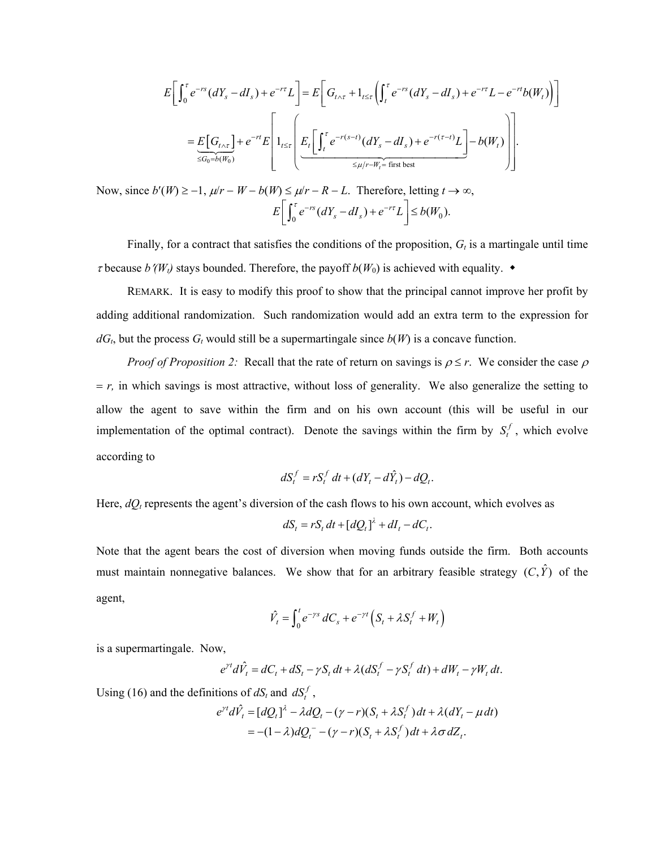$$
E\left[\int_0^{\tau} e^{-rs} (dY_s - dI_s) + e^{-rt} L\right] = E\left[G_{t \wedge \tau} + 1_{t \leq \tau} \left(\int_t^{\tau} e^{-rs} (dY_s - dI_s) + e^{-rt} L - e^{-rt} b(W_t)\right)\right]
$$
  

$$
= E\left[G_{t \wedge \tau}\right] + e^{-rt} E\left[1_{t \leq \tau} \left(E_t \left[\int_t^{\tau} e^{-r(s-t)} (dY_s - dI_s) + e^{-r(\tau-t)} L\right] - b(W_t)\right]\right].
$$

Now, since  $b'(W) \ge -1$ ,  $\mu/r - W - b(W) \le \mu/r - R - L$ . Therefore, letting  $t \to \infty$ ,  $E\left[\int_0^{\tau} e^{-rs} (dY_s - dI_s) + e^{-r\tau} L\right] \leq b(W_0).$ 

Finally, for a contract that satisfies the conditions of the proposition,  $G_t$  is a martingale until time  $\tau$  because *b*′*(W<sub>t</sub>*) stays bounded. Therefore, the payoff *b*(*W*<sub>0</sub>) is achieved with equality.  $\bullet$ 

REMARK.It is easy to modify this proof to show that the principal cannot improve her profit by adding additional randomization. Such randomization would add an extra term to the expression for  $dG_t$ , but the process  $G_t$  would still be a supermartingale since  $b(W)$  is a concave function.

*Proof of Proposition 2:* Recall that the rate of return on savings is  $\rho \le r$ . We consider the case  $\rho$  $=$  *r*, in which savings is most attractive, without loss of generality. We also generalize the setting to allow the agent to save within the firm and on his own account (this will be useful in our implementation of the optimal contract). Denote the savings within the firm by  $S_t^f$ , which evolve according to

$$
dS_t^f = rS_t^f dt + (dY_t - d\hat{Y}_t) - dQ_t.
$$

Here, *dO<sub>t</sub>* represents the agent's diversion of the cash flows to his own account, which evolves as

$$
dS_t = rS_t dt + \left[dQ_t\right]^{\lambda} + dI_t - dC_t.
$$

Note that the agent bears the cost of diversion when moving funds outside the firm. Both accounts must maintain nonnegative balances. We show that for an arbitrary feasible strategy  $(C, \hat{Y})$  of the agent,

$$
\hat{V}_t = \int_0^t e^{-\gamma s} dC_s + e^{-\gamma t} \left( S_t + \lambda S_t^f + W_t \right)
$$

is a supermartingale. Now,

$$
e^{\gamma t}d\hat{V}_t = dC_t + dS_t - \gamma S_t dt + \lambda (dS_t^f - \gamma S_t^f dt) + dW_t - \gamma W_t dt.
$$

Using (16) and the definitions of  $dS_t$  and  $dS_t^f$ ,

$$
e^{\gamma t}d\hat{V}_t = [dQ_t]^{\lambda} - \lambda dQ_t - (\gamma - r)(S_t + \lambda S_t^f)dt + \lambda (dY_t - \mu dt)
$$
  
= -(1 - \lambda)dQ\_t - (\gamma - r)(S\_t + \lambda S\_t^f)dt + \lambda \sigma dZ\_t.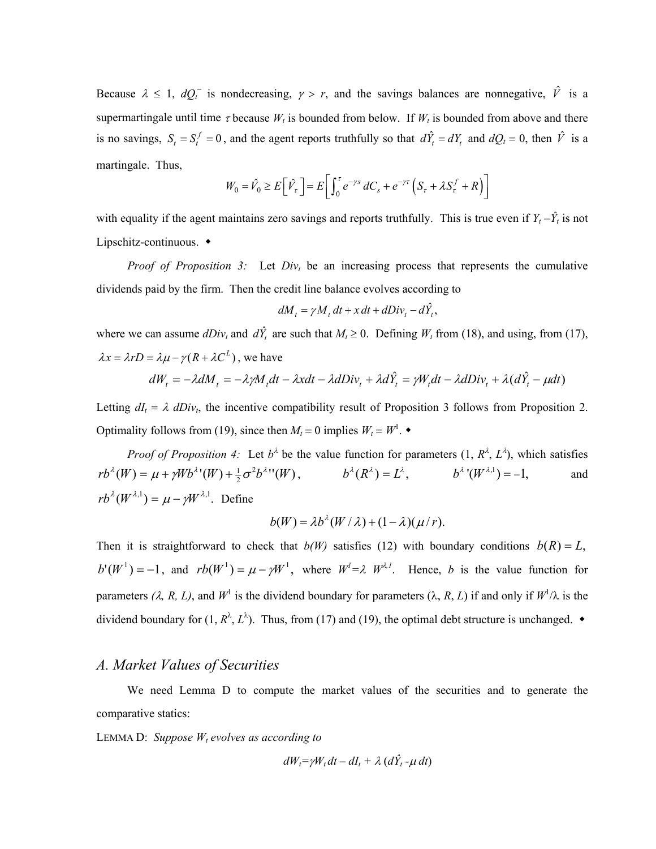Because  $\lambda \leq 1$ ,  $dQ_t^-$  is nondecreasing,  $\gamma > r$ , and the savings balances are nonnegative,  $\hat{V}$  is a supermartingale until time  $\tau$  because  $W_t$  is bounded from below. If  $W_t$  is bounded from above and there is no savings,  $S_t = S_t^f = 0$ , and the agent reports truthfully so that  $d\hat{Y}_t = dY_t$  and  $dQ_t = 0$ , then  $\hat{V}$  is a martingale. Thus,

$$
W_0 = \hat{V}_0 \ge E\left[\hat{V}_r\right] = E\left[\int_0^{\tau} e^{-\gamma s} dC_s + e^{-\gamma \tau} \left(S_{\tau} + \lambda S_{\tau}^f + R\right)\right]
$$

with equality if the agent maintains zero savings and reports truthfully. This is true even if  $Y_t - \hat{Y}_t$  is not Lipschitz-continuous.

*Proof of Proposition 3:* Let  $Div_t$  be an increasing process that represents the cumulative dividends paid by the firm. Then the credit line balance evolves according to

$$
dM_t = \gamma M_t dt + x dt + dDiv_t - d\hat{Y}_t,
$$

where we can assume  $dDiv_t$  and  $d\hat{Y}_t$  are such that  $M_t \ge 0$ . Defining  $W_t$  from (18), and using, from (17),  $\lambda x = \lambda rD = \lambda \mu - \gamma (R + \lambda C^L)$ , we have

$$
dW_t = -\lambda dM_t = -\lambda \gamma M_t dt - \lambda x dt - \lambda dDiv_t + \lambda d\hat{Y}_t = \gamma W_t dt - \lambda dDiv_t + \lambda (d\hat{Y}_t - \mu dt)
$$

Letting  $dI_t = \lambda dDiv_t$ , the incentive compatibility result of Proposition 3 follows from Proposition 2. Optimality follows from (19), since then  $M_t = 0$  implies  $W_t = W^1$ .

*Proof of Proposition 4:* Let  $b^{\lambda}$  be the value function for parameters  $(1, R^{\lambda}, L^{\lambda})$ , which satisfies  $rb^{\lambda}(W) = \mu + \gamma Wb^{\lambda}(W) + \frac{1}{2}\sigma^2b^{\lambda}(W)$ ,  $b^{\lambda}(R^{\lambda}) = L^{\lambda},$   $b^{\lambda}(W^{\lambda,1}) = -1,$  and  $r b^{\lambda} (W^{\lambda,1}) = \mu - \nu W^{\lambda,1}$ . Define

$$
b(W) = \lambda b^{\lambda} (W / \lambda) + (1 - \lambda) (\mu / r).
$$

Then it is straightforward to check that  $b(W)$  satisfies (12) with boundary conditions  $b(R) = L$ ,  $b'(W^1) = -1$ , and  $rb(W^1) = \mu - \gamma W^1$ , where  $W^1 = \lambda W^{\lambda}$ . Hence, *b* is the value function for parameters ( $\lambda$ , *R*, *L*), and  $W^1$  is the dividend boundary for parameters ( $\lambda$ , *R*, *L*) if and only if  $W^1/\lambda$  is the dividend boundary for  $(1, R^{\lambda}, L^{\lambda})$ . Thus, from (17) and (19), the optimal debt structure is unchanged.  $\bullet$ 

#### *A. Market Values of Securities*

We need Lemma D to compute the market values of the securities and to generate the comparative statics:

<span id="page-32-0"></span>LEMMA D: Suppose  $W_t$  evolves as according to

$$
dW_t = \gamma W_t dt - dI_t + \lambda (d\hat{Y}_t - \mu dt)
$$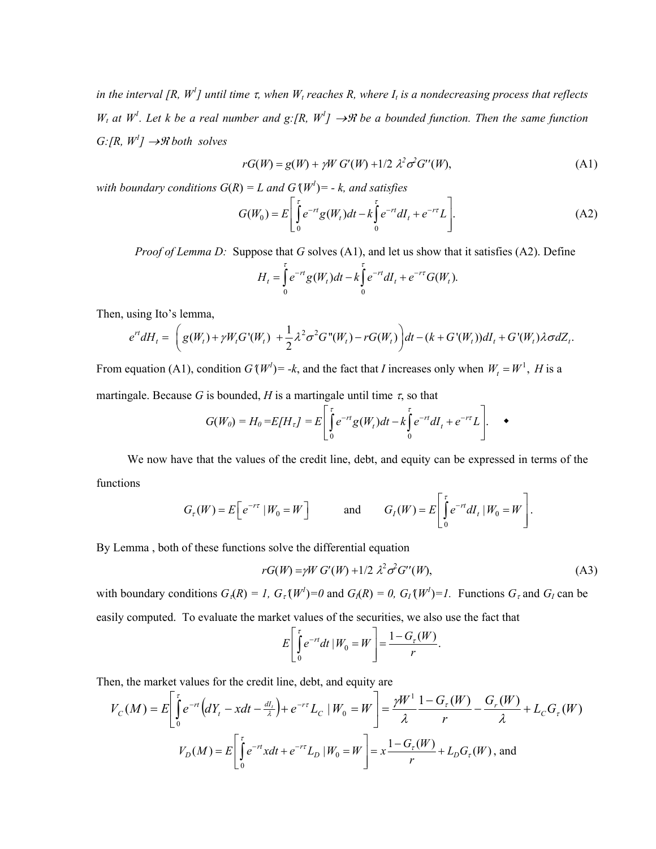*in the interval [R, W<sup>1</sup>] until time*  $\tau$ *, when W<sub>t</sub> reaches R, where I<sub>t</sub> is a nondecreasing process that reflects W<sub>t</sub>* at  $W^1$ . Let k be a real number and  $g:[R, W^1] \to \mathcal{R}$  be a bounded function. Then the same function  $G: [R, W^l] \rightarrow \mathcal{R}$  both solves

$$
rG(W) = g(W) + \gamma W G'(W) + 1/2 \lambda^2 \sigma^2 G''(W),
$$
 (A1)

*with boundary conditions*  $G(R) = L$  *and*  $G'(W<sup>1</sup>) = -k$ *, and satisfies* 

$$
G(W_0) = E \left[ \int_0^r e^{-rt} g(W_t) dt - k \int_0^r e^{-rt} dI_t + e^{-rt} L \right].
$$
 (A2)

*Proof of Lemma D:* Suppose that *G* solves (A1), and let us show that it satisfies (A2). Define

$$
H_{t} = \int_{0}^{t} e^{-rt} g(W_{t}) dt - k \int_{0}^{t} e^{-rt} dI_{t} + e^{-rt} G(W_{t}).
$$

Then, using Ito's lemma,

$$
e^{rt}dH_t = \left(g(W_t) + \gamma W_t G'(W_t) + \frac{1}{2}\lambda^2 \sigma^2 G''(W_t) - rG(W_t)\right)dt - (k + G'(W_t))dI_t + G'(W_t)\lambda \sigma dZ_t.
$$

From equation (A1), condition  $G(W^1) = -k$ , and the fact that *I* increases only when  $W_t = W^1$ , *H* is a martingale. Because *G* is bounded, *H* is a martingale until time  $\tau$ , so that

$$
G(W_0) = H_0 = E[H_\tau] = E\left[\int\limits_0^\tau e^{-rt}g(W_t)dt - k\int\limits_0^\tau e^{-rt}dI_t + e^{-rt}L\right]. \quad \bullet
$$

We now have that the values of the credit line, debt, and equity can be expressed in terms of the functions

$$
G_r(W) = E\left[e^{-r\tau} \mid W_0 = W\right] \quad \text{and} \quad G_I(W) = E\left[\int_0^r e^{-rt} dI_t \mid W_0 = W\right].
$$

By [Lemma ,](#page-32-0) both of these functions solve the differential equation

$$
rG(W) = \gamma W \cdot G'(W) + 1/2 \cdot \lambda^2 \sigma^2 G''(W), \tag{A3}
$$

with boundary conditions  $G_t(R) = I$ ,  $G_t(W^1) = 0$  and  $G_I(R) = 0$ ,  $G_I(W^1) = I$ . Functions  $G_t$  and  $G_I$  can be easily computed. To evaluate the market values of the securities, we also use the fact that

$$
E\left[\int\limits_0^{\tau}e^{-rt}dt\,|W_0=W\right]=\frac{1-G_{\tau}(W)}{r}.
$$

Then, the market values for the credit line, debt, and equity are

$$
V_C(M) = E\left[\int_0^r e^{-rt} \left(dY_t - xdt - \frac{dt_t}{\lambda}\right) + e^{-rt} L_C \mid W_0 = W\right] = \frac{\gamma W^1}{\lambda} \frac{1 - G_\tau(W)}{r} - \frac{G_r(W)}{\lambda} + L_C G_\tau(W)
$$

$$
V_D(M) = E\left[\int_0^r e^{-rt} xdt + e^{-rt} L_D \mid W_0 = W\right] = x \frac{1 - G_\tau(W)}{r} + L_D G_\tau(W), \text{ and}
$$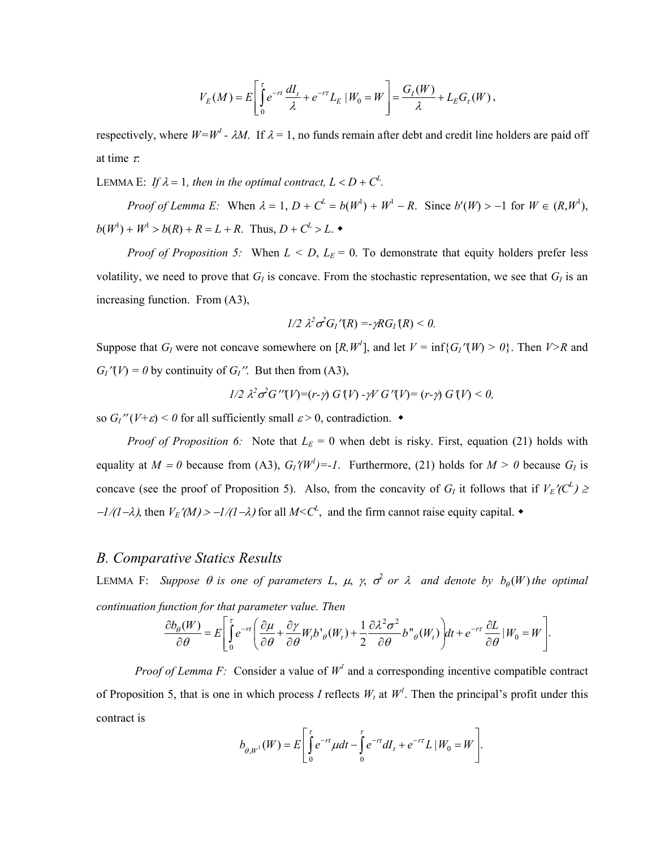$$
V_E(M) = E\left[\int\limits_0^{\tau} e^{-rt} \frac{dI_t}{\lambda} + e^{-rt} L_E \, \vert \, W_0 = W\right] = \frac{G_I(W)}{\lambda} + L_E G_{\tau}(W) \,,
$$

respectively, where  $W=W^1$  -  $\lambda M$ . If  $\lambda = 1$ , no funds remain after debt and credit line holders are paid off at time  $\tau$ .

LEMMA E: If  $\lambda = 1$ , then in the optimal contract,  $L < D + C^L$ .

*Proof of Lemma E:* When  $\lambda = 1$ ,  $D + C^L = b(W^1) + W^1 - R$ . Since  $b'(W) > -1$  for  $W \in (R, W^1)$ ,  $b(W^1) + W^1 > b(R) + R = L + R$ . Thus,  $D + C^L > L$ .

*Proof of Proposition 5:* When  $L < D$ ,  $L_E = 0$ . To demonstrate that equity holders prefer less volatility, we need to prove that  $G_I$  is concave. From the stochastic representation, we see that  $G_I$  is an increasing function. From (A3),

$$
1/2 \lambda^2 \sigma^2 G_I{}^{\prime\prime}(R) = -\gamma RG_I{}^{\prime}(R) < 0.
$$

Suppose that  $G_I$  were not concave somewhere on  $[R, W^I]$ , and let  $V = \inf\{G_I{}''(W) > 0\}$ . Then  $V > R$  and  $G_I''(V) = 0$  by continuity of  $G_I''$ . But then from (A3),

$$
1/2 \; \lambda^2 \sigma^2 G''(V) = (r - \gamma) \; G'(V) - \gamma V \; G''(V) = (r - \gamma) \; G'(V) < 0,
$$

so  $G_I''(V+\varepsilon) < 0$  for all sufficiently small  $\varepsilon > 0$ , contradiction.  $\bullet$ 

*Proof of Proposition 6:* Note that  $L<sub>E</sub> = 0$  when debt is risky. First, equation (21) holds with equality at  $M = 0$  because from (A3),  $G_I/W^I$ )=-1. Furthermore, (21) holds for  $M > 0$  because  $G_I$  is concave (see the proof of Proposition 5). Also, from the concavity of  $G_I$  it follows that if  $V_E'(C^L) \ge$  $-I/(I-\lambda)$ , then  $V_E'(M) > -I/(I-\lambda)$  for all  $M < C^L$ , and the firm cannot raise equity capital.  $\bullet$ 

#### *B. Comparative Statics Results*

LEMMA F: Suppose  $\theta$  is one of parameters L,  $\mu$ ,  $\gamma$ ,  $\sigma^2$  or  $\lambda$  and denote by  $b_{\theta}(W)$  the optimal *continuation function for that parameter value. Then* 

$$
\frac{\partial b_{\theta}(W)}{\partial \theta} = E \left[ \int_{0}^{\tau} e^{-rt} \left( \frac{\partial \mu}{\partial \theta} + \frac{\partial \gamma}{\partial \theta} W_{t} b^{\dagger}_{\theta}(W_{t}) + \frac{1}{2} \frac{\partial \lambda^{2} \sigma^{2}}{\partial \theta} b^{\dagger}_{\theta}(W_{t}) \right) dt + e^{-rt} \frac{\partial L}{\partial \theta} |W_{0} = W \right].
$$

*Proof of Lemma F:* Consider a value of  $W<sup>1</sup>$  and a corresponding incentive compatible contract of Proposition 5, that is one in which process *I* reflects  $W_t$  at  $W^l$ . Then the principal's profit under this contract is

$$
b_{\theta,W^1}(W) = E\left[\int\limits_0^{\tau} e^{-rt} \mu dt - \int\limits_0^{\tau} e^{-rt} dI_t + e^{-rt} L \, | \, W_0 = W\right].
$$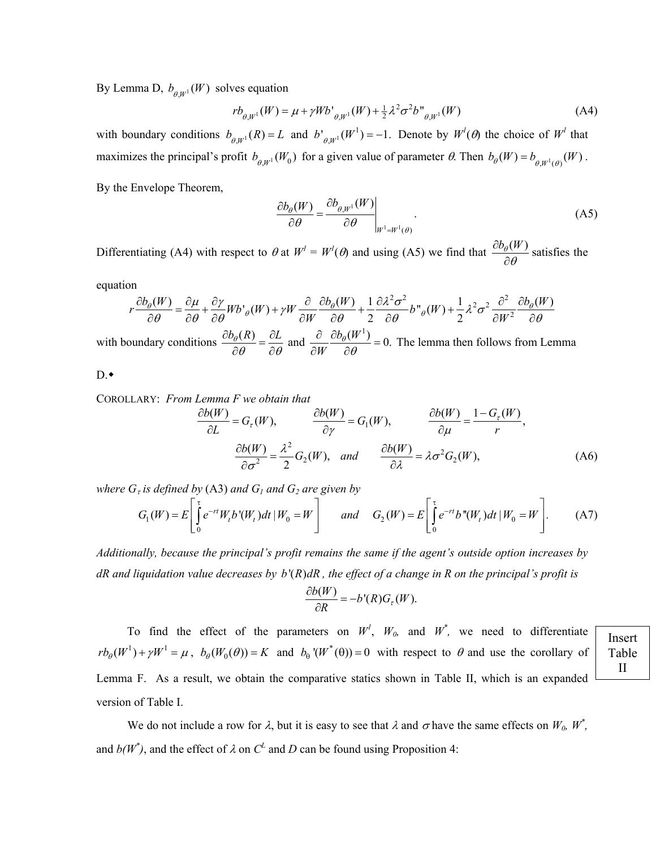By Lemma D,  $b_{\theta W^1}(W)$  solves equation

$$
rb_{\theta,W^1}(W) = \mu + \gamma W b^{\dagger}_{\theta,W^1}(W) + \frac{1}{2} \lambda^2 \sigma^2 b^{\dagger}_{\theta,W^1}(W) \tag{A4}
$$

with boundary conditions  $b_{\theta, W^1}(R) = L$  and  $b_{\theta, W^1}(W^1) = -1$ . Denote by  $W^1(\theta)$  the choice of  $W^1$  that maximizes the principal's profit  $b_{\theta W^1}(W_0)$  for a given value of parameter  $\theta$ . Then  $b_{\theta}(W) = b_{\theta W^1(\theta)}(W)$ .

By the Envelope Theorem,

$$
\frac{\partial b_{\theta}(W)}{\partial \theta} = \frac{\partial b_{\theta,W^1}(W)}{\partial \theta}\Big|_{W^1 = W^1(\theta)}.
$$
\n(A5)

Differentiating (A4) with respect to  $\theta$  at  $W^l = W^l(\theta)$  and using (A5) we find that  $\frac{\partial b_{\theta}(W)}{\partial \theta}$ ∂ ∂ satisfies the

equation

$$
r\frac{\partial b_{\theta}(W)}{\partial \theta} = \frac{\partial \mu}{\partial \theta} + \frac{\partial \gamma}{\partial \theta} W b'_{\theta}(W) + \gamma W \frac{\partial}{\partial W} \frac{\partial b_{\theta}(W)}{\partial \theta} + \frac{1}{2} \frac{\partial \lambda^2 \sigma^2}{\partial \theta} b''_{\theta}(W) + \frac{1}{2} \lambda^2 \sigma^2 \frac{\partial^2}{\partial W^2} \frac{\partial b_{\theta}(W)}{\partial \theta}
$$
  
with boundary conditions  $\frac{\partial b_{\theta}(R)}{\partial \theta} = \frac{\partial L}{\partial \theta}$  and  $\frac{\partial}{\partial W} \frac{\partial b_{\theta}(W^1)}{\partial \theta} = 0$ . The lemma then follows from Lemma

 $D.$ 

COROLLARY: *From Lemma F we obtain that* 

$$
\frac{\partial b(W)}{\partial L} = G_{\tau}(W), \qquad \frac{\partial b(W)}{\partial \gamma} = G_{1}(W), \qquad \frac{\partial b(W)}{\partial \mu} = \frac{1 - G_{\tau}(W)}{r},
$$

$$
\frac{\partial b(W)}{\partial \sigma^{2}} = \frac{\lambda^{2}}{2} G_{2}(W), \quad \text{and} \quad \frac{\partial b(W)}{\partial \lambda} = \lambda \sigma^{2} G_{2}(W), \tag{A6}
$$

*where*  $G<sub>z</sub>$  *is defined by* (A3) *and*  $G<sub>1</sub>$  *and*  $G<sub>2</sub>$  *are given by* 

$$
G_1(W) = E\left[\int_0^{\tau} e^{-rt} W_t b'(W_t) dt \, | \, W_0 = W\right] \qquad \text{and} \qquad G_2(W) = E\left[\int_0^{\tau} e^{-rt} b''(W_t) dt \, | \, W_0 = W\right]. \tag{A7}
$$

*Additionally, because the principal's profit remains the same if the agent's outside option increases by dR and liquidation value decreases by b'(R)dR, the effect of a change in R on the principal's profit is* 

$$
\frac{\partial b(W)}{\partial R} = -b'(R)G_{\tau}(W).
$$

To find the effect of the parameters on  $W^1$ ,  $W_0$ , and  $W^*$ , we need to differentiate  $rb_\theta(W^1) + \gamma W^1 = \mu$ ,  $b_\theta(W_0(\theta)) = K$  and  $b_\theta(W^*(\theta)) = 0$  with respect to  $\theta$  and use the corollary of Lemma F. As a result, we obtain the comparative statics shown in Table II, which is an expanded version of Table I.

We do not include a row for  $\lambda$ , but it is easy to see that  $\lambda$  and  $\sigma$  have the same effects on  $W_0$ ,  $W^*$ , and  $b(W^*)$ , and the effect of  $\lambda$  on  $C^L$  and  $D$  can be found using Proposition 4:

Insert Table II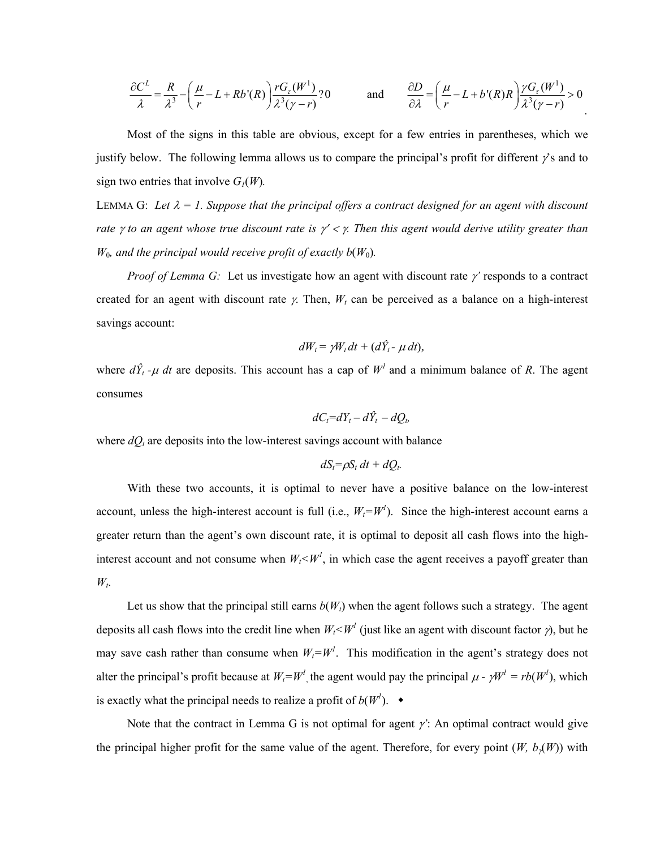$$
\frac{\partial C^L}{\partial \lambda} = \frac{R}{\lambda^3} - \left(\frac{\mu}{r} - L + Rb'(R)\right) \frac{rG_r(W^1)}{\lambda^3(\gamma - r)} ?0 \quad \text{and} \quad \frac{\partial D}{\partial \lambda} = \left(\frac{\mu}{r} - L + b'(R)R\right) \frac{\gamma G_r(W^1)}{\lambda^3(\gamma - r)} > 0
$$

Most of the signs in this table are obvious, except for a few entries in parentheses, which we justify below. The following lemma allows us to compare the principal's profit for different γ's and to sign two entries that involve  $G_I(W)$ .

LEMMA G: Let  $\lambda = 1$ . Suppose that the principal offers a contract designed for an agent with discount *rate* γ *to an agent whose true discount rate is* γ′ <sup>&</sup>lt; <sup>γ</sup>*. Then this agent would derive utility greater than*   $W_0$ , and the principal would receive profit of exactly  $b(W_0)$ .

*Proof of Lemma G:* Let us investigate how an agent with discount rate γ*'* responds to a contract created for an agent with discount rate  $\gamma$ . Then,  $W_t$  can be perceived as a balance on a high-interest savings account:

$$
dW_t = \gamma W_t dt + (d\hat{Y}_t - \mu dt),
$$

where  $d\hat{Y}_t$  - $\mu$  dt are deposits. This account has a cap of  $W^1$  and a minimum balance of *R*. The agent consumes

$$
dC_t = dY_t - d\hat{Y}_t - dQ_t
$$

where  $dQ_t$  are deposits into the low-interest savings account with balance

$$
dS_t = \rho S_t dt + dQ_t.
$$

With these two accounts, it is optimal to never have a positive balance on the low-interest account, unless the high-interest account is full (i.e.,  $W_t = W^1$ ). Since the high-interest account earns a greater return than the agent's own discount rate, it is optimal to deposit all cash flows into the highinterest account and not consume when  $W_t \leq W^l$ , in which case the agent receives a payoff greater than *Wt*.

Let us show that the principal still earns  $b(W_t)$  when the agent follows such a strategy. The agent deposits all cash flows into the credit line when  $W_t \leq W^l$  (just like an agent with discount factor  $\gamma$ ), but he may save cash rather than consume when  $W_t = W^1$ . This modification in the agent's strategy does not alter the principal's profit because at  $W_t = W^l$ , the agent would pay the principal  $\mu$  -  $\gamma W^l = rb(W^l)$ , which is exactly what the principal needs to realize a profit of  $b(W^1)$ .  $\bullet$ 

Note that the contract in Lemma G is not optimal for agent  $\gamma'$ : An optimal contract would give the principal higher profit for the same value of the agent. Therefore, for every point  $(W, b, (W))$  with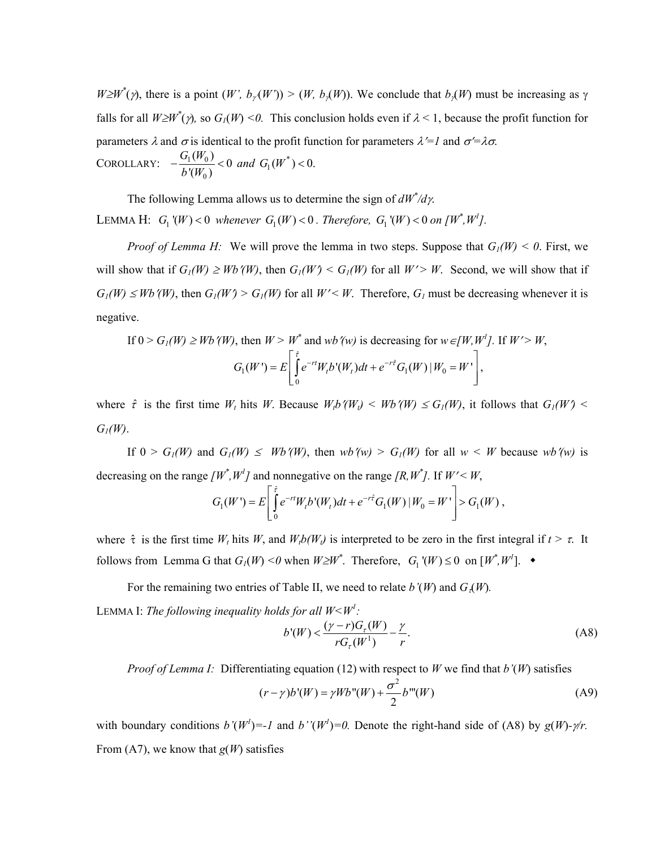$W \geq W^*(\gamma)$ , there is a point  $(W', b_{\gamma}(W')) > (W, b_{\gamma}(W))$ . We conclude that  $b_{\gamma}(W)$  must be increasing as  $\gamma$ falls for all  $W \ge W^*(\gamma)$ , so  $G_1(W) \le 0$ . This conclusion holds even if  $\lambda \le 1$ , because the profit function for parameters  $\lambda$  and  $\sigma$  is identical to the profit function for parameters  $\lambda' = I$  and  $\sigma' = \lambda \sigma$ . COROLLARY:  $-\frac{U_1(W_0)}{1+W_0}$ 0  $\frac{(W_0)}{(W_0)} < 0$  $\mathcal{W}_0$ )  $G_1(W)$ *b W*  $-\frac{G_1(W_0)}{1/(W_0)} < 0$  and  $G_1(W^*) < 0$ .

The following Lemma allows us to determine the sign of *dW\* /d*γ. LEMMA H:  $G_1$ '(*W*) < 0 *whenever*  $G_1(W)$  < 0 *. Therefore,*  $G_1$ '(*W*) < 0 *on* [*W*<sup>\*</sup>,*W*<sup>*1*</sup>].

*Proof of Lemma H:* We will prove the lemma in two steps. Suppose that  $G_1(W) \le 0$ . First, we will show that if  $G_1(W) \ge Wb'(W)$ , then  $G_1(W) \le G_1(W)$  for all  $W' > W$ . Second, we will show that if  $G_1(W) \leq Wb'(W)$ , then  $G_1(W) > G_1(W)$  for all  $W' < W$ . Therefore,  $G_1$  must be decreasing whenever it is negative.

If 
$$
0 > G_I(W) \ge Wb'(W)
$$
, then  $W > W^*$  and  $wb'(w)$  is decreasing for  $w \in [W, W^1]$ . If  $W' > W$ ,  
\n
$$
G_I(W^{\prime}) = E\left[\int_0^{\hat{\tau}} e^{-rt} W_I b'(W_I) dt + e^{-r\hat{\tau}} G_I(W) |W_0 = W^{\prime}\right],
$$

where  $\hat{\tau}$  is the first time  $W_t$  hits  $W$ . Because  $W_t b' (W_t) \leq W b' (W) \leq G_t(W)$ , it follows that  $G_t(W) \leq$ *G1(W)*.

If  $0 > G_1(W)$  and  $G_1(W) \le Wb'(W)$ , then  $wb'(w) > G_1(W)$  for all  $w \le W$  because  $wb'(w)$  is decreasing on the range  $\overline{W}^*, W^{\dagger}$  and nonnegative on the range  $\overline{R}, W^*$ . If  $W' < W$ ,

$$
G_1(W') = E\left[\int_0^{\hat{\tau}} e^{-rt} W_t b'(W_t) dt + e^{-r\hat{\tau}} G_1(W) |W_0 = W'\right] > G_1(W),
$$

where  $\hat{\tau}$  is the first time *W<sub>t</sub>* hits *W*, and *W<sub>t</sub>b(W<sub>t</sub>)* is interpreted to be zero in the first integral if  $t > \tau$ . It follows from Lemma G that  $G_I(W) \le 0$  when  $W \ge W^*$ . Therefore,  $G_I(W) \le 0$  on  $[W^*, W^I]$ .  $\bullet$ 

For the remaining two entries of Table II, we need to relate  $b'(W)$  and  $G_t(W)$ . LEMMA I: *The following inequality holds for all*  $W \leq W^l$ :

$$
b'(W) < \frac{(\gamma - r)G_r(W)}{rG_r(W^1)} - \frac{\gamma}{r}.
$$
 (A8)

*Proof of Lemma I:* Differentiating equation (12) with respect to *W* we find that *b'*(*W*) satisfies

$$
(r - \gamma)b'(W) = \gamma Wb''(W) + \frac{\sigma^2}{2}b'''(W)
$$
 (A9)

with boundary conditions  $b'(W')=1$  and  $b''(W')=0$ . Denote the right-hand side of (A8) by  $g(W)$ - $\gamma/r$ . From (A7), we know that *g*(*W*) satisfies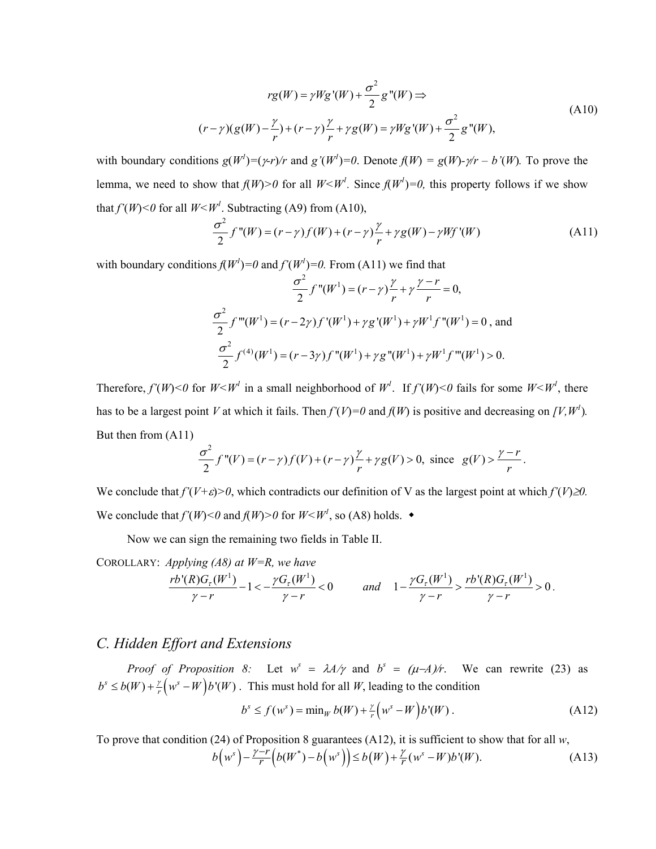$$
rg(W) = \gamma Wg'(W) + \frac{\sigma^2}{2}g''(W) \Rightarrow
$$
  
(r-\gamma)(g(W) - \frac{\gamma}{r}) + (r-\gamma)\frac{\gamma}{r} + \gamma g(W) = \gamma Wg'(W) + \frac{\sigma^2}{2}g''(W), (A10)

with boundary conditions  $g(W^1) = (\gamma r)/r$  and  $g'(W^1) = 0$ . Denote  $f(W) = g(W) \cdot \gamma/r - b'(W)$ . To prove the lemma, we need to show that  $f(W) > 0$  for all  $W < W<sup>1</sup>$ . Since  $f(W<sup>1</sup>) = 0$ , this property follows if we show that  $f'(W) < 0$  for all  $W < W<sup>1</sup>$ . Subtracting (A9) from (A10),

$$
\frac{\sigma^2}{2} f''(W) = (r - \gamma) f(W) + (r - \gamma) \frac{\gamma}{r} + \gamma g(W) - \gamma W f'(W)
$$
\n(A11)

with boundary conditions  $f(W^1) = 0$  and  $f'(W^1) = 0$ . From (A11) we find that 2

$$
\frac{\sigma^2}{2} f''(W^1) = (r - \gamma) \frac{\gamma}{r} + \gamma \frac{\gamma - r}{r} = 0,
$$
  

$$
\frac{\sigma^2}{2} f'''(W^1) = (r - 2\gamma) f'(W^1) + \gamma g'(W^1) + \gamma W^1 f''(W^1) = 0, \text{ and}
$$
  

$$
\frac{\sigma^2}{2} f^{(4)}(W^1) = (r - 3\gamma) f''(W^1) + \gamma g''(W^1) + \gamma W^1 f'''(W^1) > 0.
$$

Therefore,  $f'(W) < 0$  for  $W < W<sup>1</sup>$  in a small neighborhood of  $W<sup>1</sup>$ . If  $f'(W) < 0$  fails for some  $W < W<sup>1</sup>$ , there has to be a largest point *V* at which it fails. Then  $f'(V)=0$  and  $f(W)$  is positive and decreasing on  $[V, W']$ . But then from (A11)

$$
\frac{\sigma^2}{2} f''(V) = (r - \gamma) f(V) + (r - \gamma) \frac{\gamma}{r} + \gamma g(V) > 0, \text{ since } g(V) > \frac{\gamma - r}{r}.
$$

We conclude that  $f'(V+\varepsilon) > 0$ , which contradicts our definition of V as the largest point at which  $f'(V) \ge 0$ . We conclude that  $f'(W) < 0$  and  $f(W) > 0$  for  $W < W^1$ , so (A8) holds.  $\bullet$ 

Now we can sign the remaining two fields in Table II.

COROLLARY: Applying (A8) at 
$$
W=R
$$
, we have  
\n
$$
\frac{rb'(R)G_{\tau}(W^1)}{\gamma - r} - 1 < -\frac{\gamma G_{\tau}(W^1)}{\gamma - r} < 0
$$
 and  $1 - \frac{\gamma G_{\tau}(W^1)}{\gamma - r} > \frac{rb'(R)G_{\tau}(W^1)}{\gamma - r} > 0.$ 

## *C. Hidden Effort and Extensions*

*Proof of Proposition 8:* Let  $w^s = \lambda A/\gamma$  and  $b^s = (\mu - A)/r$ . We can rewrite (23) as  $b^s \le b(W) + \frac{\gamma}{r} \left( w^s - W \right) b'(W)$ . This must hold for all *W*, leading to the condition

$$
b^{s} \le f(w^{s}) = \min_{W} b(W) + \frac{\gamma}{r} \left(w^{s} - W\right) b^{s}(W) . \tag{A12}
$$

To prove that condition (24) of Proposition 8 guarantees (A12), it is sufficient to show that for all *w*,  $b(w^s) - \frac{\gamma - r}{r} \left( b(W^*) - b(w^s) \right) \le b(W) + \frac{\gamma}{r} (w^s - W) b'(W).$  (A13)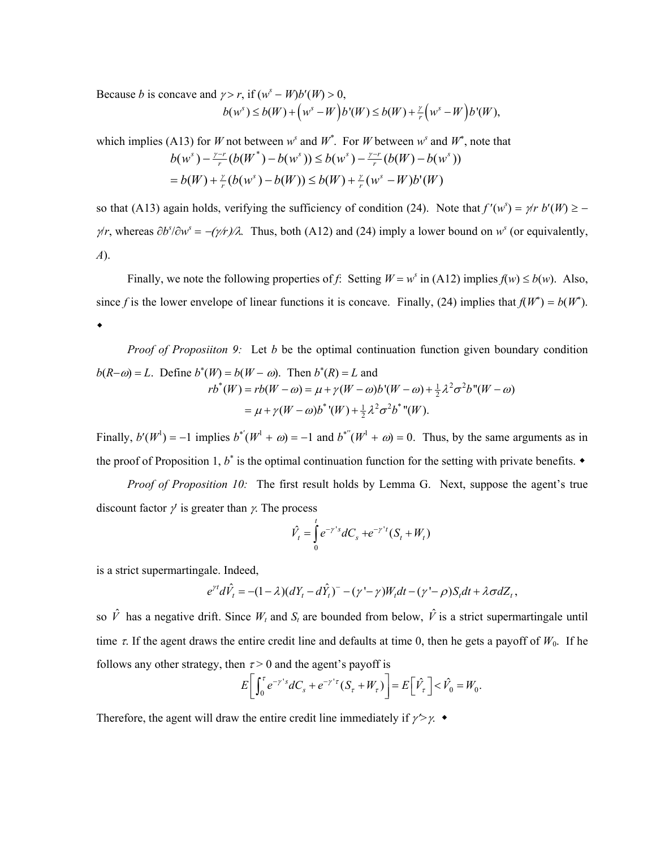Because *b* is concave and  $\gamma > r$ , if  $(w^s - W)b'(W) > 0$ ,

$$
b(w^s) \leq b(W) + \left(w^s - W\right)b'(W) \leq b(W) + \frac{\gamma}{r}\left(w^s - W\right)b'(W),
$$

which implies (A13) for *W* not between  $w^s$  and  $W^*$ . For *W* between  $w^s$  and  $W^*$ , note that

$$
b(w^s) - \frac{\gamma - r}{r} (b(W^*) - b(w^s)) \le b(w^s) - \frac{\gamma - r}{r} (b(W) - b(w^s))
$$
  
=  $b(W) + \frac{\gamma}{r} (b(w^s) - b(W)) \le b(W) + \frac{\gamma}{r} (w^s - W) b'(W)$ 

so that (A13) again holds, verifying the sufficiency of condition (24). Note that  $f'(w^s) = \gamma r b'(W) \ge -\gamma r$  $\gamma/r$ , whereas  $\partial b^s/\partial w^s = -(\gamma/r)/\lambda$ . Thus, both (A12) and (24) imply a lower bound on *w*<sup>s</sup> (or equivalently, *A*).

Finally, we note the following properties of *f*: Setting  $W = w^s$  in (A12) implies  $f(w) \le b(w)$ . Also, since *f* is the lower envelope of linear functions it is concave. Finally, (24) implies that  $f(W^*) = b(W^*)$ .  $\bullet$ 

*Proof of Proposiiton 9:* Let *b* be the optimal continuation function given boundary condition  $b(R-\omega) = L$ . Define  $b^*(W) = b(W-\omega)$ . Then  $b^*(R) = L$  and  $rb^*(W) = rb(W - \omega) = \mu + \gamma(W - \omega)b'(W - \omega) + \frac{1}{2}\lambda^2\sigma^2b''(W - \omega)$  $= \mu + \gamma(W - \omega)b^*(W) + \frac{1}{2}\lambda^2\sigma^2b^*(W).$ 

Finally,  $b'(W^1) = -1$  implies  $b^*(W^1 + \omega) = -1$  and  $b^{*'}(W^1 + \omega) = 0$ . Thus, by the same arguments as in the proof of Proposition 1,  $b^*$  is the optimal continuation function for the setting with private benefits.  $\bullet$ 

*Proof of Proposition 10:* The first result holds by Lemma G. Next, suppose the agent's true discount factor  $\gamma$  is greater than  $\gamma$ . The process

$$
\hat{V}_t = \int_0^t e^{-\gamma's} dC_s + e^{-\gamma't} (S_t + W_t)
$$

is a strict supermartingale. Indeed,

$$
e^{\gamma t}d\hat{V}_t = -(1-\lambda)(dY_t - d\hat{Y}_t)^- - (\gamma' - \gamma)W_t dt - (\gamma' - \rho)S_t dt + \lambda \sigma dZ_t,
$$

so  $\hat{V}$  has a negative drift. Since  $W_t$  and  $S_t$  are bounded from below,  $\hat{V}$  is a strict supermartingale until time  $\tau$ . If the agent draws the entire credit line and defaults at time 0, then he gets a payoff of  $W_0$ . If he follows any other strategy, then  $\tau > 0$  and the agent's payoff is

$$
E\bigg[\int_0^\tau e^{-\gamma's}dC_s + e^{-\gamma'\tau}(S_\tau + W_\tau)\bigg] = E\bigg[\hat{V}_\tau\bigg] < \hat{V}_0 = W_0.
$$

Therefore, the agent will draw the entire credit line immediately if  $\gamma$ <sup>*></sup>*  $\gamma$ .</sup>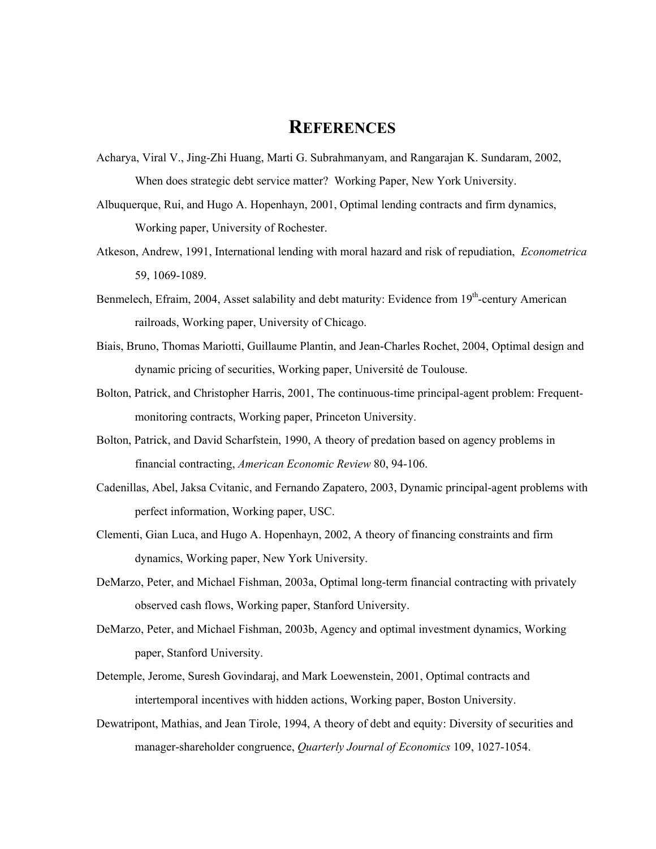## **REFERENCES**

- Acharya, Viral V., Jing-Zhi Huang, Marti G. Subrahmanyam, and Rangarajan K. Sundaram, 2002, When does strategic debt service matter? Working Paper, New York University.
- Albuquerque, Rui, and Hugo A. Hopenhayn, 2001, Optimal lending contracts and firm dynamics, Working paper, University of Rochester.
- Atkeson, Andrew, 1991, International lending with moral hazard and risk of repudiation, *Econometrica*  59, 1069-1089.
- Benmelech, Efraim, 2004, Asset salability and debt maturity: Evidence from 19<sup>th</sup>-century American railroads, Working paper, University of Chicago.
- Biais, Bruno, Thomas Mariotti, Guillaume Plantin, and Jean-Charles Rochet, 2004, Optimal design and dynamic pricing of securities, Working paper, Université de Toulouse.
- Bolton, Patrick, and Christopher Harris, 2001, The continuous-time principal-agent problem: Frequentmonitoring contracts, Working paper, Princeton University.
- Bolton, Patrick, and David Scharfstein, 1990, A theory of predation based on agency problems in financial contracting, *American Economic Review* 80, 94-106.
- Cadenillas, Abel, Jaksa Cvitanic, and Fernando Zapatero, 2003, Dynamic principal-agent problems with perfect information, Working paper, USC.
- Clementi, Gian Luca, and Hugo A. Hopenhayn, 2002, A theory of financing constraints and firm dynamics, Working paper, New York University.
- DeMarzo, Peter, and Michael Fishman, 2003a, Optimal long-term financial contracting with privately observed cash flows, Working paper, Stanford University.
- DeMarzo, Peter, and Michael Fishman, 2003b, Agency and optimal investment dynamics, Working paper, Stanford University.
- Detemple, Jerome, Suresh Govindaraj, and Mark Loewenstein, 2001, Optimal contracts and intertemporal incentives with hidden actions, Working paper, Boston University.
- Dewatripont, Mathias, and Jean Tirole, 1994, A theory of debt and equity: Diversity of securities and manager-shareholder congruence, *Quarterly Journal of Economics* 109, 1027-1054.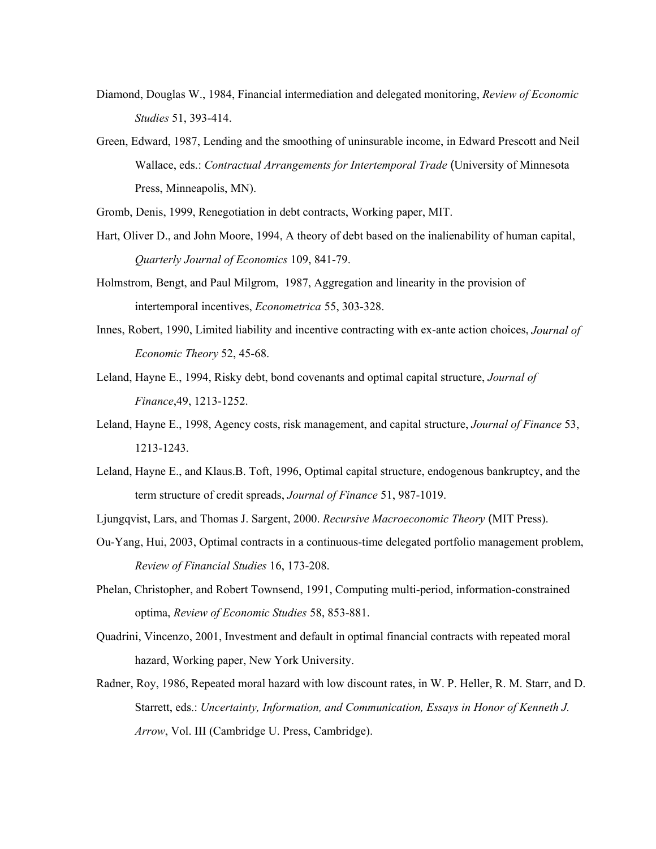- Diamond, Douglas W., 1984, Financial intermediation and delegated monitoring, *Review of Economic Studies* 51, 393-414.
- Green, Edward, 1987, Lending and the smoothing of uninsurable income, in Edward Prescott and Neil Wallace, eds.: *Contractual Arrangements for Intertemporal Trade* (University of Minnesota Press, Minneapolis, MN).
- Gromb, Denis, 1999, Renegotiation in debt contracts, Working paper, MIT.
- Hart, Oliver D., and John Moore, 1994, A theory of debt based on the inalienability of human capital, *Quarterly Journal of Economics* 109, 841-79.
- Holmstrom, Bengt, and Paul Milgrom, 1987, Aggregation and linearity in the provision of intertemporal incentives, *Econometrica* 55, 303-328.
- Innes, Robert, 1990, Limited liability and incentive contracting with ex-ante action choices, *Journal of Economic Theory* 52, 45-68.
- Leland, Hayne E., 1994, Risky debt, bond covenants and optimal capital structure, *Journal of Finance*,49, 1213-1252.
- Leland, Hayne E., 1998, Agency costs, risk management, and capital structure, *Journal of Finance* 53, 1213-1243.
- Leland, Hayne E., and Klaus.B. Toft, 1996, Optimal capital structure, endogenous bankruptcy, and the term structure of credit spreads, *Journal of Finance* 51, 987-1019.
- Ljungqvist, Lars, and Thomas J. Sargent, 2000. *Recursive Macroeconomic Theory* (MIT Press).
- Ou-Yang, Hui, 2003, Optimal contracts in a continuous-time delegated portfolio management problem, *Review of Financial Studies* 16, 173-208.
- Phelan, Christopher, and Robert Townsend, 1991, Computing multi-period, information-constrained optima, *Review of Economic Studies* 58, 853-881.
- Quadrini, Vincenzo, 2001, Investment and default in optimal financial contracts with repeated moral hazard, Working paper, New York University.
- Radner, Roy, 1986, Repeated moral hazard with low discount rates, in W. P. Heller, R. M. Starr, and D. Starrett, eds.: *Uncertainty, Information, and Communication, Essays in Honor of Kenneth J. Arrow*, Vol. III (Cambridge U. Press, Cambridge).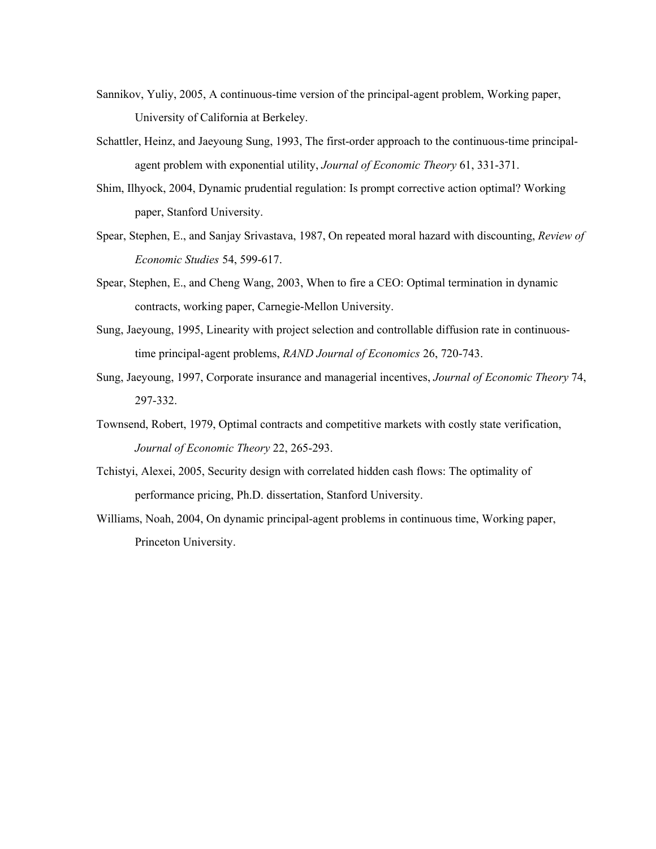- Sannikov, Yuliy, 2005, A continuous-time version of the principal-agent problem, Working paper, University of California at Berkeley.
- Schattler, Heinz, and Jaeyoung Sung, 1993, The first-order approach to the continuous-time principalagent problem with exponential utility, *Journal of Economic Theory* 61, 331-371.
- Shim, Ilhyock, 2004, Dynamic prudential regulation: Is prompt corrective action optimal? Working paper, Stanford University.
- Spear, Stephen, E., and Sanjay Srivastava, 1987, On repeated moral hazard with discounting, *Review of Economic Studies* 54, 599-617.
- Spear, Stephen, E., and Cheng Wang, 2003, When to fire a CEO: Optimal termination in dynamic contracts, working paper, Carnegie-Mellon University.
- Sung, Jaeyoung, 1995, Linearity with project selection and controllable diffusion rate in continuoustime principal-agent problems, *RAND Journal of Economics* 26, 720-743.
- Sung, Jaeyoung, 1997, Corporate insurance and managerial incentives, *Journal of Economic Theory* 74, 297-332.
- Townsend, Robert, 1979, Optimal contracts and competitive markets with costly state verification, *Journal of Economic Theory* 22, 265-293.
- Tchistyi, Alexei, 2005, Security design with correlated hidden cash flows: The optimality of performance pricing, Ph.D. dissertation, Stanford University.
- Williams, Noah, 2004, On dynamic principal-agent problems in continuous time, Working paper, Princeton University.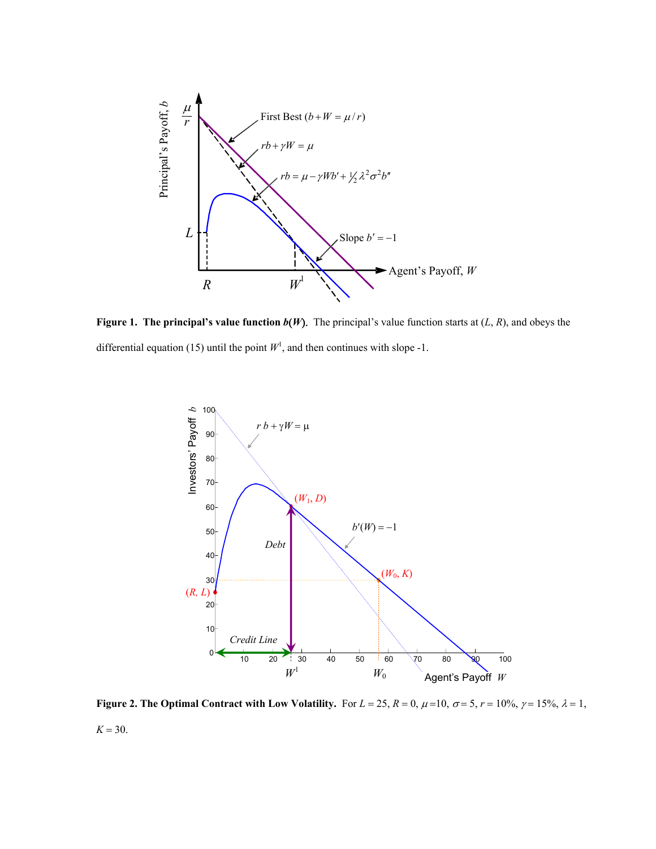

**Figure 1. The principal's value function**  $b(W)$ **.** The principal's value function starts at  $(L, R)$ , and obeys the differential equation (15) until the point  $W<sup>1</sup>$ , and then continues with slope -1.



**Figure 2. The Optimal Contract with Low Volatility.** For  $L = 25$ ,  $R = 0$ ,  $\mu = 10$ ,  $\sigma = 5$ ,  $r = 10\%$ ,  $\gamma = 15\%$ ,  $\lambda = 1$ ,

 $K = 30$ .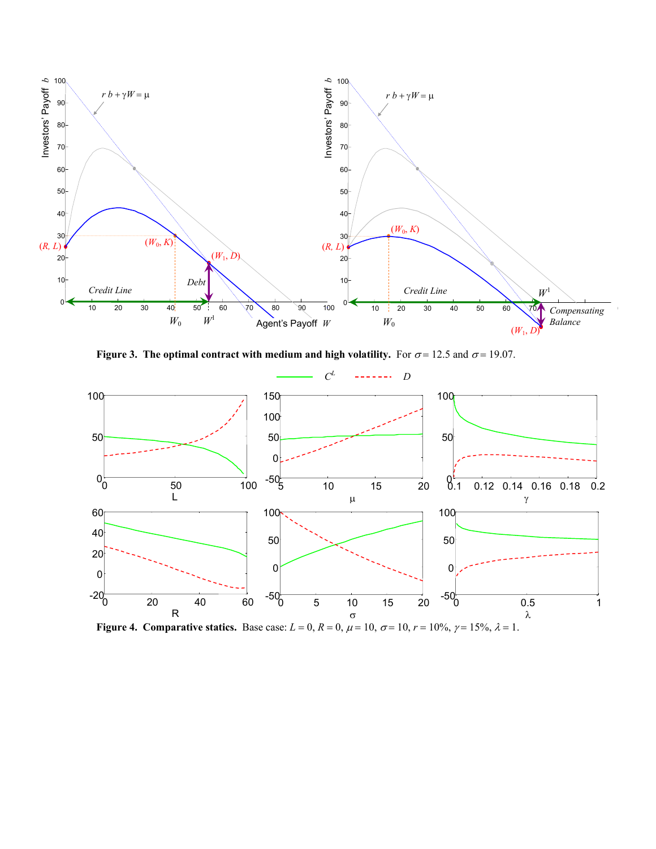

**Figure 3. The optimal contract with medium and high volatility.** For  $\sigma = 12.5$  and  $\sigma = 19.07$ .



**Figure 4. Comparative statics.** Base case:  $L = 0$ ,  $R = 0$ ,  $\mu = 10$ ,  $\sigma = 10$ ,  $r = 10\%$ ,  $\gamma = 15\%$ ,  $\lambda = 1$ .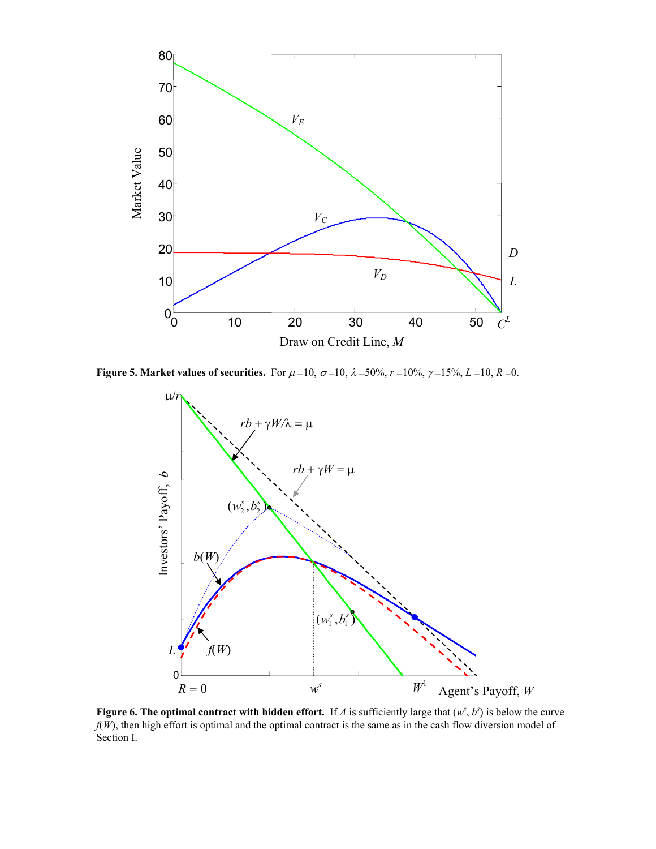

**Figure 5. Market values of securities.** For  $\mu$ =10,  $\sigma$ =10,  $\lambda$ =50%,  $r$ =10%,  $\gamma$ =15%,  $L$ =10,  $R$ =0.



**Figure 6. The optimal contract with hidden effort.** If *A* is sufficiently large that  $(w^s, b^s)$  is below the curve *f*(*W*), then high effort is optimal and the optimal contract is the same as in the cash flow diversion model of Section I.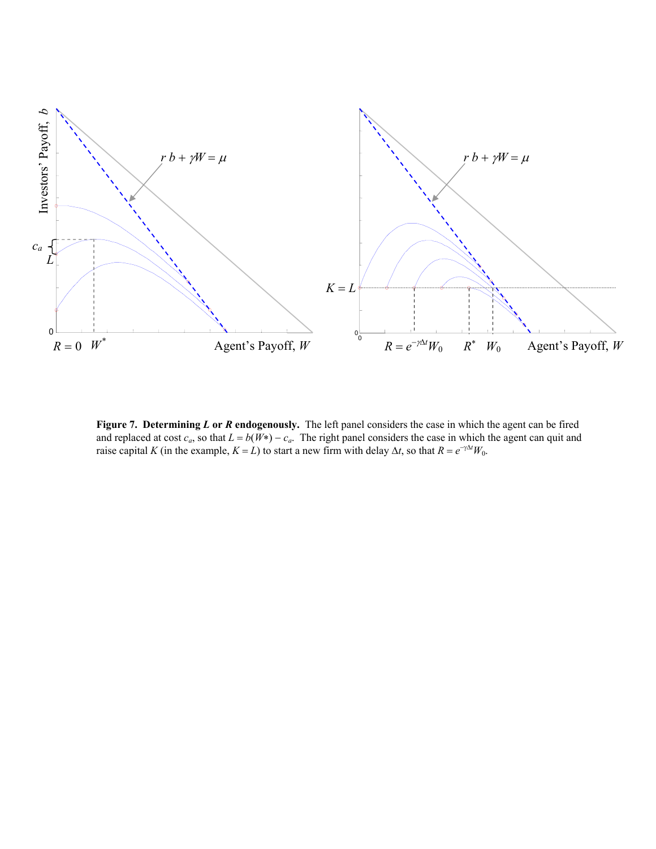

**Figure 7. Determining** *L* **or** *R* **endogenously.** The left panel considers the case in which the agent can be fired and replaced at cost  $c_a$ , so that  $L = b(W^*) - c_a$ . The right panel considers the case in which the agent can quit and raise capital *K* (in the example,  $K = L$ ) to start a new firm with delay  $\Delta t$ , so that  $R = e^{-\gamma \Delta t} W_0$ .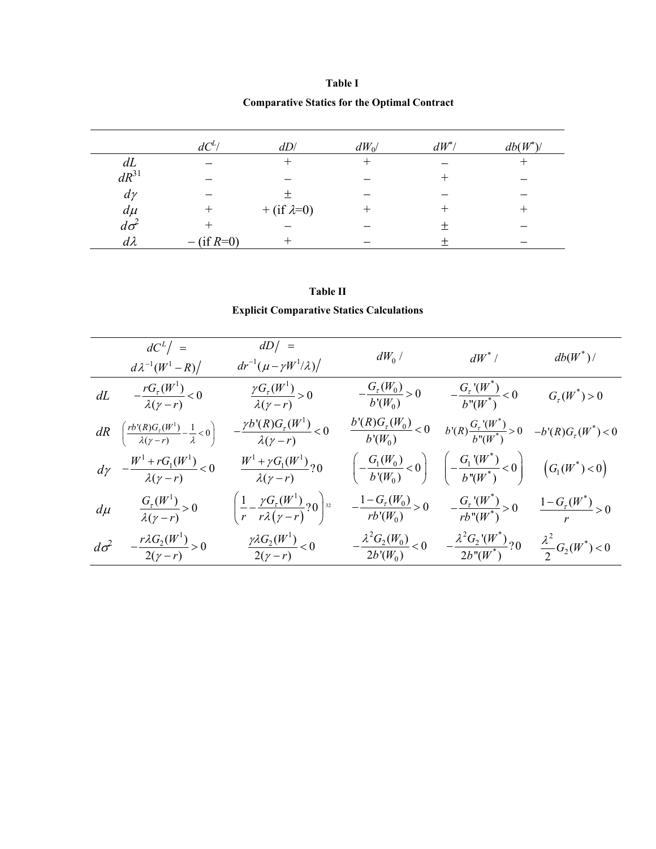|                      |                                        | $\overline{\phantom{a}}$ |        |        |           |
|----------------------|----------------------------------------|--------------------------|--------|--------|-----------|
|                      | $dC^{L}$                               | dD                       | $dW_0$ | $dW^*$ | $db(W^*)$ |
|                      |                                        | $^{\mathrm{+}}$          | +      |        |           |
| $\frac{dL}{dR^{31}}$ |                                        |                          |        |        |           |
| $d\gamma$            |                                        | $^+$                     |        |        |           |
| $d\mu$               |                                        | + (if $\lambda=0$ )      |        |        |           |
| $d\sigma^2$          |                                        |                          |        |        |           |
| $d\lambda$           | $(if R=0)$<br>$\overline{\phantom{m}}$ |                          |        |        |           |

## **Table I Comparative Statics for the Optimal Contract**

## **Table II**

## **Explicit Comparative Statics Calculations**

|             | $dC^L$ =<br>$d\lambda^{-1}(W^1-R)$                                          | $dD/$ =<br>$dr^{-1}(\mu-\gamma W^1/\lambda)/$                                  | $dW_0$ /                                     | $dW^{\ast}$ /                                | $db(W^*)$ /                        |
|-------------|-----------------------------------------------------------------------------|--------------------------------------------------------------------------------|----------------------------------------------|----------------------------------------------|------------------------------------|
| dL          | $-\frac{rG_{\tau}(W^1)}{\lambda(\gamma-r)} < 0$                             | $\frac{\gamma G_r(W^1)}{\lambda(\gamma - r)} > 0$                              | $-\frac{G_{\tau}(W_0)}{b'(W_0)} > 0$         | $-\frac{G_r(V^*)}{b''(W^*)}<0$               | $G_{\tau}(W^*) > 0$                |
| dR          | $\left(\frac{rb'(R)G_r(W^1)}{\lambda(\gamma-r)}-\frac{1}{\lambda}<0\right)$ | $-\frac{\gamma b'(R)G_r(W^1)}{\lambda(\gamma-r)} < 0$                          | $\frac{b'(R)G_{\tau}(W_0)}{b'(W_0)} < 0$     | $b'(R)\frac{G_{\tau}(W^*)}{b''(W^*)}>0$      | $-b'(R)G_{\tau}(W^*) < 0$          |
|             | $d\gamma - \frac{W^1 + rG_1(W^1)}{\lambda(\gamma - r)} < 0$                 | $\frac{W^1 + \gamma G_1(W^1)}{\lambda(\gamma - r)} ? 0$                        | $\left(-\frac{G_1(W_0)}{b'(W_0)} < 0\right)$ | $\left(-\frac{G_1'(W^*)}{b''(W^*)}<0\right)$ | $(G_1(W^*)<0)$                     |
| $d\mu$      | $\frac{G_{\tau}(W^1)}{\lambda(\gamma-r)} > 0$                               | $\left(\frac{1}{r}-\frac{\gamma G_r(W^1)}{r\lambda(\gamma-r)}?\,0\right)^{32}$ | $-\frac{1-G_{\tau}(W_0)}{rb'(W_0)} > 0$      | $-\frac{G_{\tau}!(W^*)}{rb!(W^*)} > 0$       | $\frac{1-G_{\tau}(W^{*})}{W} > 0$  |
| $d\sigma^2$ | $\frac{r\lambda G_2(W^1)}{2(\gamma-r)} > 0$                                 | $\frac{\gamma \lambda G_2(W^1)}{2(\gamma - r)} < 0$                            | $\frac{\lambda^2 G_2(W_0)}{2b'(W_0)} < 0$    | $-\frac{\lambda^2 G_2'(W^*)}{2b''(W^*)}$ ?0  | $\frac{\lambda^2}{2} G_2(W^*) < 0$ |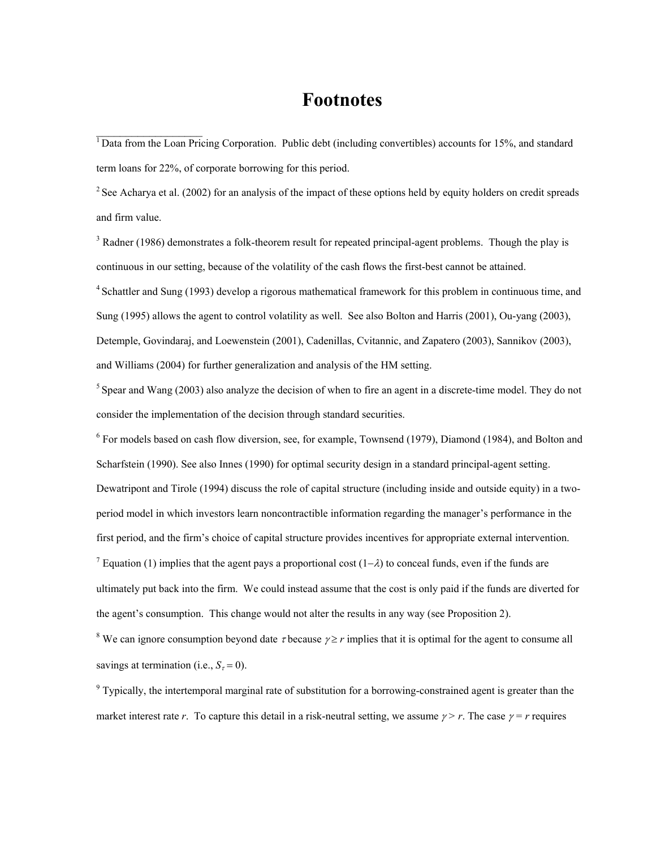# **Footnotes**

 ${}^{1}$ Data from the Loan Pricing Corporation. Public debt (including convertibles) accounts for 15%, and standard term loans for 22%, of corporate borrowing for this period.

 $\mathcal{L}_\text{max}$ 

<sup>2</sup> See Acharya et al. (2002) for an analysis of the impact of these options held by equity holders on credit spreads and firm value.

 $3$  Radner (1986) demonstrates a folk-theorem result for repeated principal-agent problems. Though the play is continuous in our setting, because of the volatility of the cash flows the first-best cannot be attained.

4 Schattler and Sung (1993) develop a rigorous mathematical framework for this problem in continuous time, and Sung (1995) allows the agent to control volatility as well. See also Bolton and Harris (2001), Ou-yang (2003), Detemple, Govindaraj, and Loewenstein (2001), Cadenillas, Cvitannic, and Zapatero (2003), Sannikov (2003), and Williams (2004) for further generalization and analysis of the HM setting.

 $5$  Spear and Wang (2003) also analyze the decision of when to fire an agent in a discrete-time model. They do not consider the implementation of the decision through standard securities.

<sup>6</sup> For models based on cash flow diversion, see, for example, Townsend (1979), Diamond (1984), and Bolton and Scharfstein (1990). See also Innes (1990) for optimal security design in a standard principal-agent setting. Dewatripont and Tirole (1994) discuss the role of capital structure (including inside and outside equity) in a twoperiod model in which investors learn noncontractible information regarding the manager's performance in the first period, and the firm's choice of capital structure provides incentives for appropriate external intervention. <sup>7</sup> Equation (1) implies that the agent pays a proportional cost (1– $\lambda$ ) to conceal funds, even if the funds are ultimately put back into the firm. We could instead assume that the cost is only paid if the funds are diverted for the agent's consumption. This change would not alter the results in any way (see Proposition 2).

<sup>8</sup> We can ignore consumption beyond date  $\tau$  because  $\gamma \ge r$  implies that it is optimal for the agent to consume all savings at termination (i.e.,  $S_\tau = 0$ ).

<sup>9</sup> Typically, the intertemporal marginal rate of substitution for a borrowing-constrained agent is greater than the market interest rate *r*. To capture this detail in a risk-neutral setting, we assume  $\gamma > r$ . The case  $\gamma = r$  requires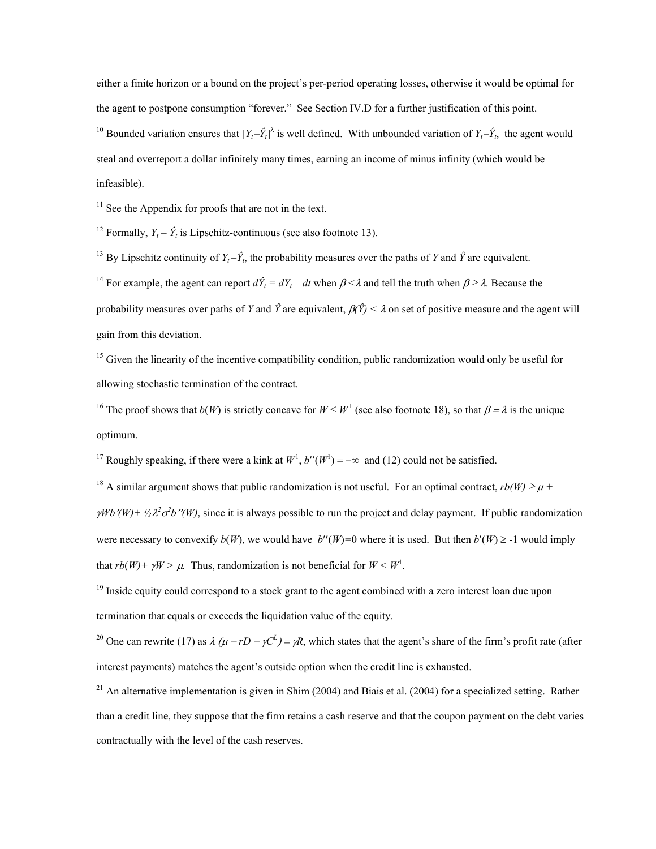either a finite horizon or a bound on the project's per-period operating losses, otherwise it would be optimal for the agent to postpone consumption "forever." See Section IV.D for a further justification of this point.

<sup>10</sup> Bounded variation ensures that  $[Y_t - \hat{Y}_t]^{\lambda}$  is well defined. With unbounded variation of  $Y_t - \hat{Y}_t$ , the agent would steal and overreport a dollar infinitely many times, earning an income of minus infinity (which would be infeasible).

 $11$  See the Appendix for proofs that are not in the text.

<sup>12</sup> Formally,  $Y_t - \hat{Y}_t$  is Lipschitz-continuous (see also footnote 13).

<sup>13</sup> By Lipschitz continuity of  $Y_t - \hat{Y}_t$ , the probability measures over the paths of *Y* and  $\hat{Y}$  are equivalent.

<sup>14</sup> For example, the agent can report  $d\hat{Y}_t = dY_t - dt$  when  $\beta < \lambda$  and tell the truth when  $\beta \ge \lambda$ . Because the probability measures over paths of *Y* and  $\hat{Y}$  are equivalent,  $\hat{B}(Y) < \lambda$  on set of positive measure and the agent will gain from this deviation.

<sup>15</sup> Given the linearity of the incentive compatibility condition, public randomization would only be useful for allowing stochastic termination of the contract.

<sup>16</sup> The proof shows that  $b(W)$  is strictly concave for  $W \leq W^1$  (see also footnote 18), so that  $\beta = \lambda$  is the unique optimum.

<sup>17</sup> Roughly speaking, if there were a kink at  $W^1$ ,  $b''(W^1) = -\infty$  and (12) could not be satisfied.

<sup>18</sup> A similar argument shows that public randomization is not useful. For an optimal contract,  $rb(W) \ge \mu$  +  $\gamma Wb(W) + \frac{1}{2}\lambda^2 \sigma^2 b''(W)$ , since it is always possible to run the project and delay payment. If public randomization were necessary to convexify  $b(W)$ , we would have  $b''(W)=0$  where it is used. But then  $b'(W)\geq -1$  would imply that  $rb(W) + \gamma W > \mu$ . Thus, randomization is not beneficial for  $W < W<sup>1</sup>$ .

<sup>19</sup> Inside equity could correspond to a stock grant to the agent combined with a zero interest loan due upon termination that equals or exceeds the liquidation value of the equity.

<sup>20</sup> One can rewrite (17) as  $\lambda (\mu - rD - \gamma C^L) = \gamma R$ , which states that the agent's share of the firm's profit rate (after interest payments) matches the agent's outside option when the credit line is exhausted.

<sup>21</sup> An alternative implementation is given in Shim (2004) and Biais et al. (2004) for a specialized setting. Rather than a credit line, they suppose that the firm retains a cash reserve and that the coupon payment on the debt varies contractually with the level of the cash reserves.